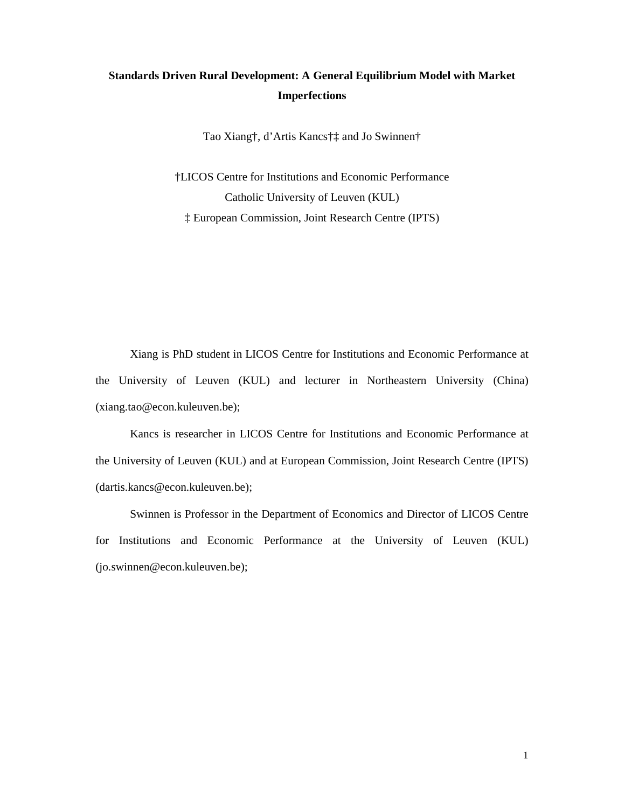# **Standards Driven Rural Development: A General Equilibrium Model with Market Imperfections**

Tao Xiang†, d'Artis Kancs†‡ and Jo Swinnen†

†LICOS Centre for Institutions and Economic Performance Catholic University of Leuven (KUL) ‡ European Commission, Joint Research Centre (IPTS)

Xiang is PhD student in LICOS Centre for Institutions and Economic Performance at the University of Leuven (KUL) and lecturer in Northeastern University (China) (xiang.tao@econ.kuleuven.be);

Kancs is researcher in LICOS Centre for Institutions and Economic Performance at the University of Leuven (KUL) and at European Commission, Joint Research Centre (IPTS) (dartis.kancs@econ.kuleuven.be);

Swinnen is Professor in the Department of Economics and Director of LICOS Centre for Institutions and Economic Performance at the University of Leuven (KUL) (jo.swinnen@econ.kuleuven.be);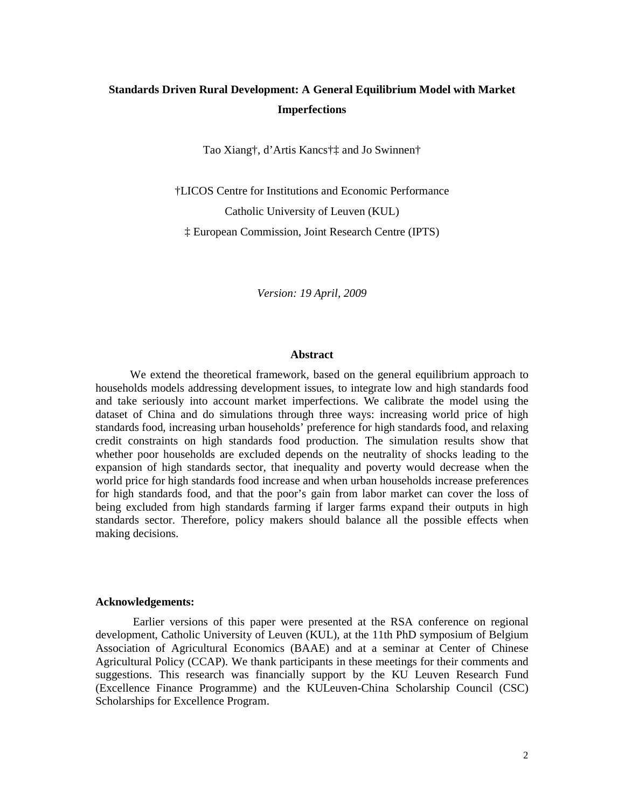# **Standards Driven Rural Development: A General Equilibrium Model with Market Imperfections**

Tao Xiang†, d'Artis Kancs†‡ and Jo Swinnen†

†LICOS Centre for Institutions and Economic Performance Catholic University of Leuven (KUL)

‡ European Commission, Joint Research Centre (IPTS)

*Version: 19 April, 2009* 

#### **Abstract**

We extend the theoretical framework, based on the general equilibrium approach to households models addressing development issues, to integrate low and high standards food and take seriously into account market imperfections. We calibrate the model using the dataset of China and do simulations through three ways: increasing world price of high standards food, increasing urban households' preference for high standards food, and relaxing credit constraints on high standards food production. The simulation results show that whether poor households are excluded depends on the neutrality of shocks leading to the expansion of high standards sector, that inequality and poverty would decrease when the world price for high standards food increase and when urban households increase preferences for high standards food, and that the poor's gain from labor market can cover the loss of being excluded from high standards farming if larger farms expand their outputs in high standards sector. Therefore, policy makers should balance all the possible effects when making decisions.

#### **Acknowledgements:**

 Earlier versions of this paper were presented at the RSA conference on regional development, Catholic University of Leuven (KUL), at the 11th PhD symposium of Belgium Association of Agricultural Economics (BAAE) and at a seminar at Center of Chinese Agricultural Policy (CCAP). We thank participants in these meetings for their comments and suggestions. This research was financially support by the KU Leuven Research Fund (Excellence Finance Programme) and the KULeuven-China Scholarship Council (CSC) Scholarships for Excellence Program.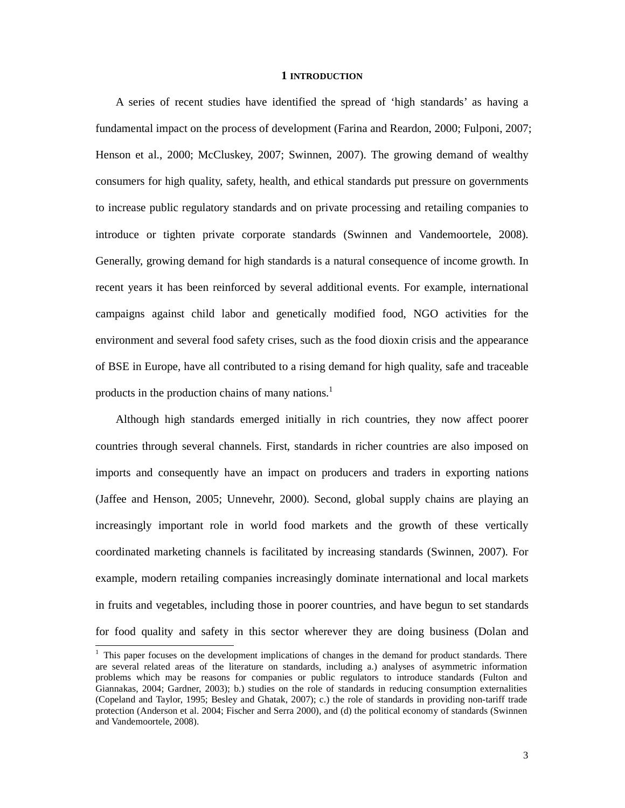### **1 INTRODUCTION**

A series of recent studies have identified the spread of 'high standards' as having a fundamental impact on the process of development (Farina and Reardon, 2000; Fulponi, 2007; Henson et al., 2000; McCluskey, 2007; Swinnen, 2007). The growing demand of wealthy consumers for high quality, safety, health, and ethical standards put pressure on governments to increase public regulatory standards and on private processing and retailing companies to introduce or tighten private corporate standards (Swinnen and Vandemoortele, 2008). Generally, growing demand for high standards is a natural consequence of income growth. In recent years it has been reinforced by several additional events. For example, international campaigns against child labor and genetically modified food, NGO activities for the environment and several food safety crises, such as the food dioxin crisis and the appearance of BSE in Europe, have all contributed to a rising demand for high quality, safe and traceable products in the production chains of many nations.<sup>1</sup>

 Although high standards emerged initially in rich countries, they now affect poorer countries through several channels. First, standards in richer countries are also imposed on imports and consequently have an impact on producers and traders in exporting nations (Jaffee and Henson, 2005; Unnevehr, 2000). Second, global supply chains are playing an increasingly important role in world food markets and the growth of these vertically coordinated marketing channels is facilitated by increasing standards (Swinnen, 2007). For example, modern retailing companies increasingly dominate international and local markets in fruits and vegetables, including those in poorer countries, and have begun to set standards for food quality and safety in this sector wherever they are doing business (Dolan and

 $\overline{a}$ 

 $1$  This paper focuses on the development implications of changes in the demand for product standards. There are several related areas of the literature on standards, including a.) analyses of asymmetric information problems which may be reasons for companies or public regulators to introduce standards (Fulton and Giannakas, 2004; Gardner, 2003); b.) studies on the role of standards in reducing consumption externalities (Copeland and Taylor, 1995; Besley and Ghatak, 2007); c.) the role of standards in providing non-tariff trade protection (Anderson et al. 2004; Fischer and Serra 2000), and (d) the political economy of standards (Swinnen and Vandemoortele, 2008).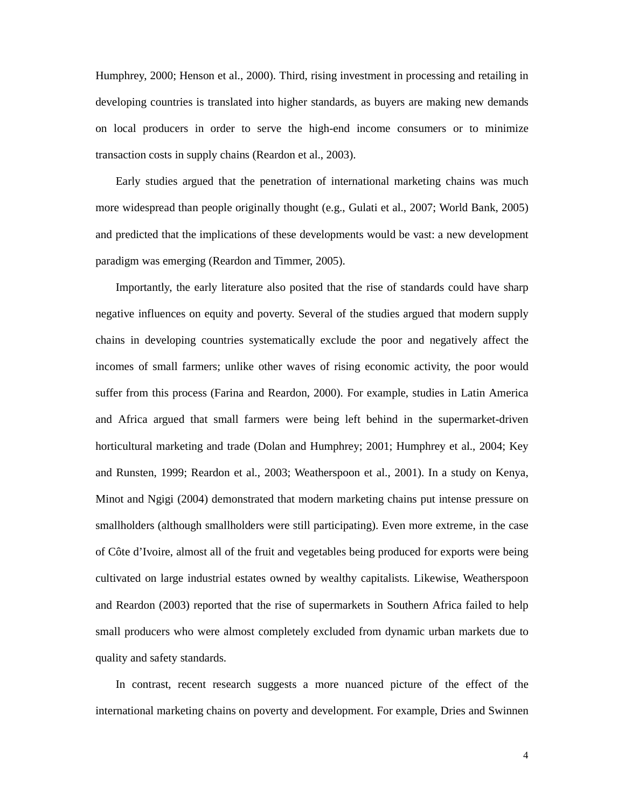Humphrey, 2000; Henson et al., 2000). Third, rising investment in processing and retailing in developing countries is translated into higher standards, as buyers are making new demands on local producers in order to serve the high-end income consumers or to minimize transaction costs in supply chains (Reardon et al., 2003).

 Early studies argued that the penetration of international marketing chains was much more widespread than people originally thought (e.g., Gulati et al., 2007; World Bank, 2005) and predicted that the implications of these developments would be vast: a new development paradigm was emerging (Reardon and Timmer, 2005).

 Importantly, the early literature also posited that the rise of standards could have sharp negative influences on equity and poverty. Several of the studies argued that modern supply chains in developing countries systematically exclude the poor and negatively affect the incomes of small farmers; unlike other waves of rising economic activity, the poor would suffer from this process (Farina and Reardon, 2000). For example, studies in Latin America and Africa argued that small farmers were being left behind in the supermarket-driven horticultural marketing and trade (Dolan and Humphrey; 2001; Humphrey et al., 2004; Key and Runsten, 1999; Reardon et al., 2003; Weatherspoon et al., 2001). In a study on Kenya, Minot and Ngigi (2004) demonstrated that modern marketing chains put intense pressure on smallholders (although smallholders were still participating). Even more extreme, in the case of Côte d'Ivoire, almost all of the fruit and vegetables being produced for exports were being cultivated on large industrial estates owned by wealthy capitalists. Likewise, Weatherspoon and Reardon (2003) reported that the rise of supermarkets in Southern Africa failed to help small producers who were almost completely excluded from dynamic urban markets due to quality and safety standards.

 In contrast, recent research suggests a more nuanced picture of the effect of the international marketing chains on poverty and development. For example, Dries and Swinnen

4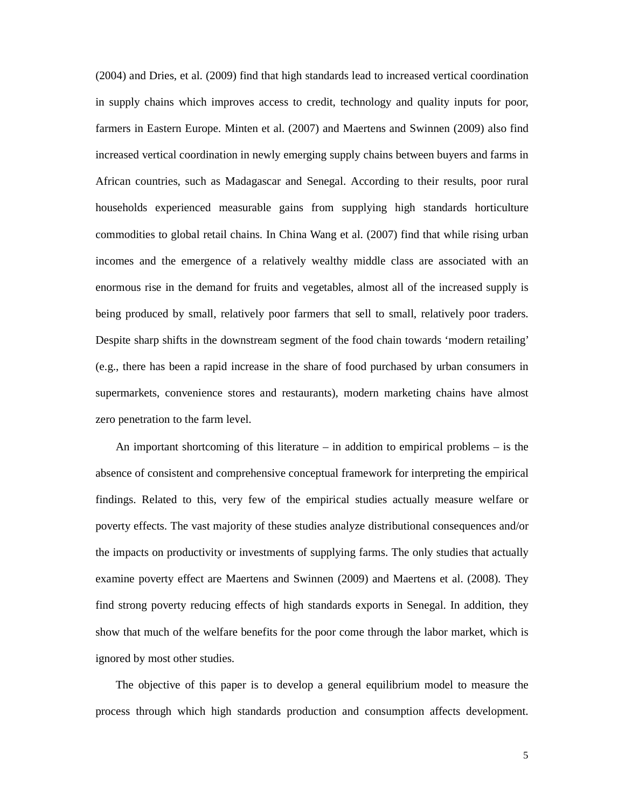(2004) and Dries, et al. (2009) find that high standards lead to increased vertical coordination in supply chains which improves access to credit, technology and quality inputs for poor, farmers in Eastern Europe. Minten et al. (2007) and Maertens and Swinnen (2009) also find increased vertical coordination in newly emerging supply chains between buyers and farms in African countries, such as Madagascar and Senegal. According to their results, poor rural households experienced measurable gains from supplying high standards horticulture commodities to global retail chains. In China Wang et al. (2007) find that while rising urban incomes and the emergence of a relatively wealthy middle class are associated with an enormous rise in the demand for fruits and vegetables, almost all of the increased supply is being produced by small, relatively poor farmers that sell to small, relatively poor traders. Despite sharp shifts in the downstream segment of the food chain towards 'modern retailing' (e.g., there has been a rapid increase in the share of food purchased by urban consumers in supermarkets, convenience stores and restaurants), modern marketing chains have almost zero penetration to the farm level.

An important shortcoming of this literature – in addition to empirical problems – is the absence of consistent and comprehensive conceptual framework for interpreting the empirical findings. Related to this, very few of the empirical studies actually measure welfare or poverty effects. The vast majority of these studies analyze distributional consequences and/or the impacts on productivity or investments of supplying farms. The only studies that actually examine poverty effect are Maertens and Swinnen (2009) and Maertens et al. (2008). They find strong poverty reducing effects of high standards exports in Senegal. In addition, they show that much of the welfare benefits for the poor come through the labor market, which is ignored by most other studies.

The objective of this paper is to develop a general equilibrium model to measure the process through which high standards production and consumption affects development.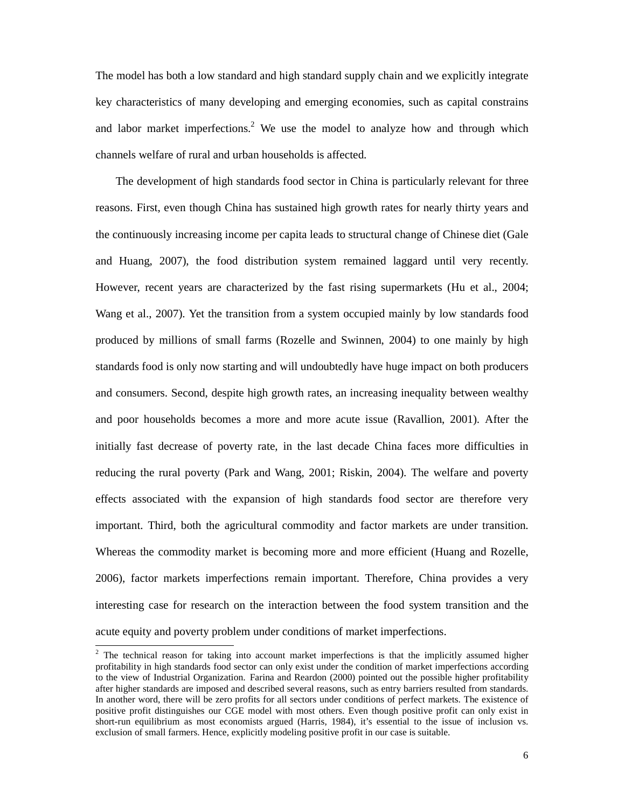The model has both a low standard and high standard supply chain and we explicitly integrate key characteristics of many developing and emerging economies, such as capital constrains and labor market imperfections.<sup>2</sup> We use the model to analyze how and through which channels welfare of rural and urban households is affected.

The development of high standards food sector in China is particularly relevant for three reasons. First, even though China has sustained high growth rates for nearly thirty years and the continuously increasing income per capita leads to structural change of Chinese diet (Gale and Huang, 2007), the food distribution system remained laggard until very recently. However, recent years are characterized by the fast rising supermarkets (Hu et al., 2004; Wang et al., 2007). Yet the transition from a system occupied mainly by low standards food produced by millions of small farms (Rozelle and Swinnen, 2004) to one mainly by high standards food is only now starting and will undoubtedly have huge impact on both producers and consumers. Second, despite high growth rates, an increasing inequality between wealthy and poor households becomes a more and more acute issue (Ravallion, 2001). After the initially fast decrease of poverty rate, in the last decade China faces more difficulties in reducing the rural poverty (Park and Wang, 2001; Riskin, 2004). The welfare and poverty effects associated with the expansion of high standards food sector are therefore very important. Third, both the agricultural commodity and factor markets are under transition. Whereas the commodity market is becoming more and more efficient (Huang and Rozelle, 2006), factor markets imperfections remain important. Therefore, China provides a very interesting case for research on the interaction between the food system transition and the acute equity and poverty problem under conditions of market imperfections.

 $\overline{a}$ 

 $2$  The technical reason for taking into account market imperfections is that the implicitly assumed higher profitability in high standards food sector can only exist under the condition of market imperfections according to the view of Industrial Organization. Farina and Reardon (2000) pointed out the possible higher profitability after higher standards are imposed and described several reasons, such as entry barriers resulted from standards. In another word, there will be zero profits for all sectors under conditions of perfect markets. The existence of positive profit distinguishes our CGE model with most others. Even though positive profit can only exist in short-run equilibrium as most economists argued (Harris, 1984), it's essential to the issue of inclusion vs. exclusion of small farmers. Hence, explicitly modeling positive profit in our case is suitable.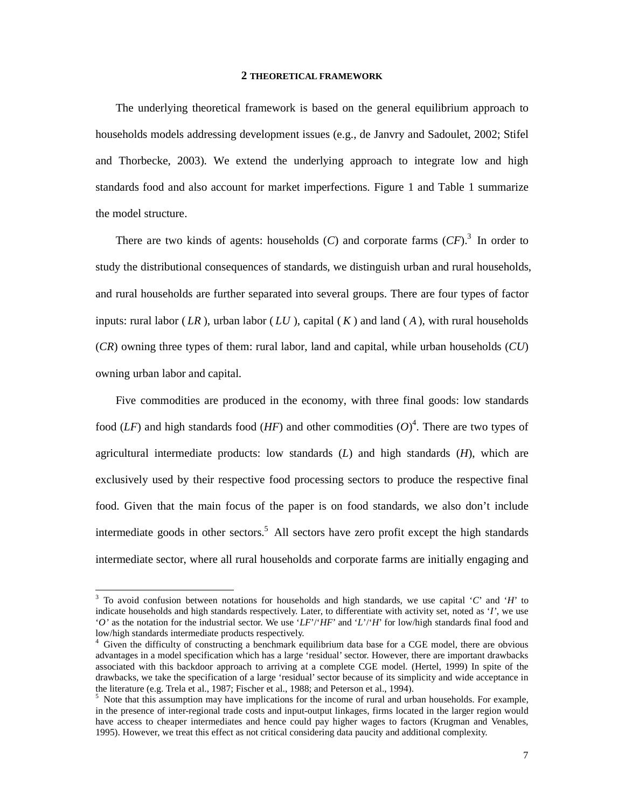#### **2 THEORETICAL FRAMEWORK**

The underlying theoretical framework is based on the general equilibrium approach to households models addressing development issues (e.g., de Janvry and Sadoulet, 2002; Stifel and Thorbecke, 2003). We extend the underlying approach to integrate low and high standards food and also account for market imperfections. Figure 1 and Table 1 summarize the model structure.

There are two kinds of agents: households  $(C)$  and corporate farms  $(CF)$ .<sup>3</sup> In order to study the distributional consequences of standards, we distinguish urban and rural households, and rural households are further separated into several groups. There are four types of factor inputs: rural labor ( $LR$ ), urban labor ( $LU$ ), capital ( $K$ ) and land ( $A$ ), with rural households (*CR*) owning three types of them: rural labor, land and capital, while urban households (*CU*) owning urban labor and capital.

Five commodities are produced in the economy, with three final goods: low standards food (*LF*) and high standards food (*HF*) and other commodities ( $O$ <sup>4</sup>. There are two types of agricultural intermediate products: low standards (*L*) and high standards (*H*), which are exclusively used by their respective food processing sectors to produce the respective final food. Given that the main focus of the paper is on food standards, we also don't include intermediate goods in other sectors.<sup>5</sup> All sectors have zero profit except the high standards intermediate sector, where all rural households and corporate farms are initially engaging and

-

<sup>3</sup> To avoid confusion between notations for households and high standards, we use capital '*C*' and '*H*' to indicate households and high standards respectively. Later, to differentiate with activity set, noted as '*I'*, we use '*O'* as the notation for the industrial sector. We use '*LF*'/'*HF*' and '*L*'/'*H*' for low/high standards final food and low/high standards intermediate products respectively.

<sup>4</sup> Given the difficulty of constructing a benchmark equilibrium data base for a CGE model, there are obvious advantages in a model specification which has a large 'residual' sector. However, there are important drawbacks associated with this backdoor approach to arriving at a complete CGE model. (Hertel, 1999) In spite of the drawbacks, we take the specification of a large 'residual' sector because of its simplicity and wide acceptance in the literature (e.g. Trela et al., 1987; Fischer et al., 1988; and Peterson et al., 1994).

<sup>&</sup>lt;sup>5</sup> Note that this assumption may have implications for the income of rural and urban households. For example, in the presence of inter-regional trade costs and input-output linkages, firms located in the larger region would have access to cheaper intermediates and hence could pay higher wages to factors (Krugman and Venables, 1995). However, we treat this effect as not critical considering data paucity and additional complexity.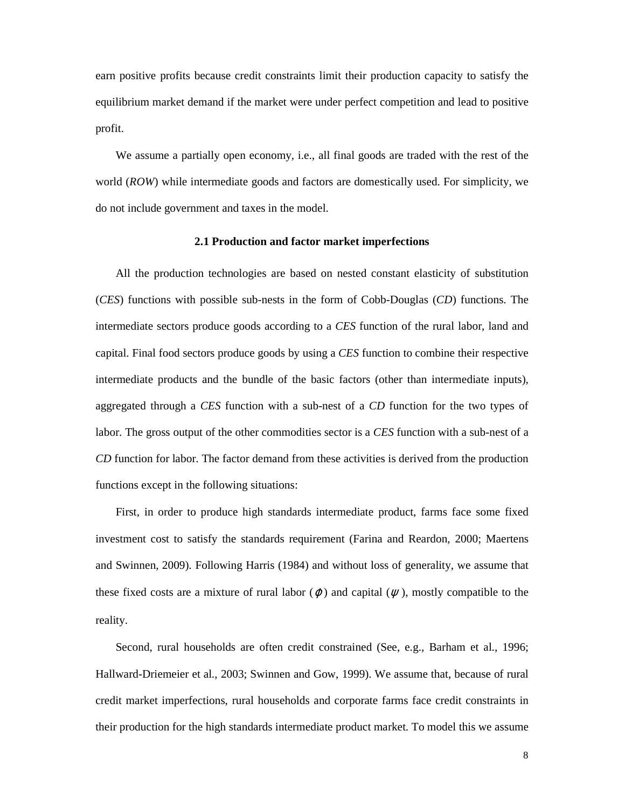earn positive profits because credit constraints limit their production capacity to satisfy the equilibrium market demand if the market were under perfect competition and lead to positive profit.

We assume a partially open economy, i.e., all final goods are traded with the rest of the world (*ROW*) while intermediate goods and factors are domestically used. For simplicity, we do not include government and taxes in the model.

#### **2.1 Production and factor market imperfections**

All the production technologies are based on nested constant elasticity of substitution (*CES*) functions with possible sub-nests in the form of Cobb-Douglas (*CD*) functions. The intermediate sectors produce goods according to a *CES* function of the rural labor, land and capital. Final food sectors produce goods by using a *CES* function to combine their respective intermediate products and the bundle of the basic factors (other than intermediate inputs), aggregated through a *CES* function with a sub-nest of a *CD* function for the two types of labor. The gross output of the other commodities sector is a *CES* function with a sub-nest of a *CD* function for labor. The factor demand from these activities is derived from the production functions except in the following situations:

First, in order to produce high standards intermediate product, farms face some fixed investment cost to satisfy the standards requirement (Farina and Reardon, 2000; Maertens and Swinnen, 2009). Following Harris (1984) and without loss of generality, we assume that these fixed costs are a mixture of rural labor ( $\varphi$ ) and capital ( $\psi$ ), mostly compatible to the reality.

Second, rural households are often credit constrained (See, e.g., Barham et al., 1996; Hallward-Driemeier et al., 2003; Swinnen and Gow, 1999). We assume that, because of rural credit market imperfections, rural households and corporate farms face credit constraints in their production for the high standards intermediate product market. To model this we assume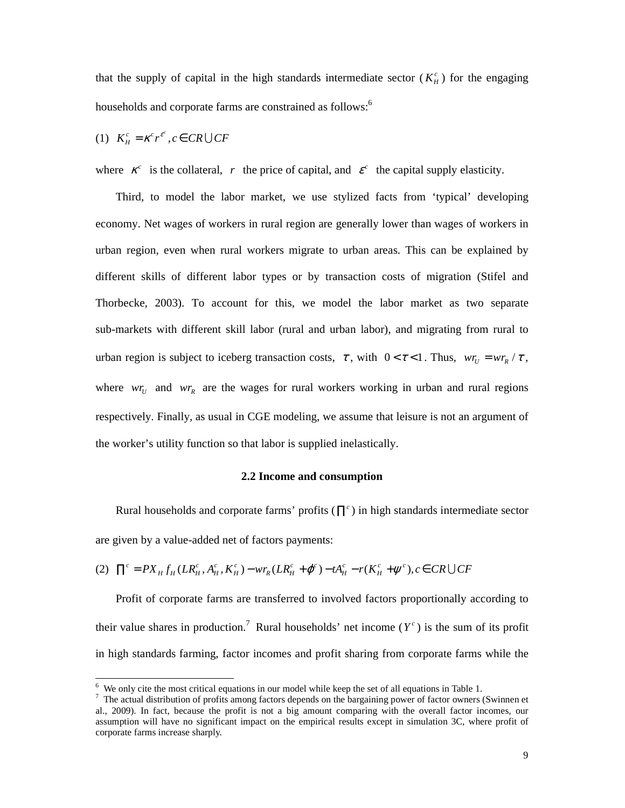that the supply of capital in the high standards intermediate sector  $(K_H^c)$  for the engaging households and corporate farms are constrained as follows:<sup>6</sup>

$$
(1) K_H^c = \kappa^c r^{\varepsilon^c}, c \in CR \cup CF
$$

where  $\kappa^c$  is the collateral, r the price of capital, and  $\varepsilon^c$  the capital supply elasticity.

Third, to model the labor market, we use stylized facts from 'typical' developing economy. Net wages of workers in rural region are generally lower than wages of workers in urban region, even when rural workers migrate to urban areas. This can be explained by different skills of different labor types or by transaction costs of migration (Stifel and Thorbecke, 2003). To account for this, we model the labor market as two separate sub-markets with different skill labor (rural and urban labor), and migrating from rural to urban region is subject to iceberg transaction costs,  $\tau$ , with  $0 < \tau < 1$ . Thus,  $wr_U = wr_R / \tau$ , where  $wr_U$  and  $wr_R$  are the wages for rural workers working in urban and rural regions respectively. Finally, as usual in CGE modeling, we assume that leisure is not an argument of the worker's utility function so that labor is supplied inelastically.

#### **2.2 Income and consumption**

Rural households and corporate farms' profits ( $\prod^c$ ) in high standards intermediate sector are given by a value-added net of factors payments:

(2)  $\prod^c = PX_{H}f_{H}(LR_{H}^c, A_{H}^c, K_{H}^c) - wr_{R}(LR_{H}^c + \varphi^c) - tA_{H}^c - r(K_{H}^c + \psi^c), c \in CR \cup CF$ 

Profit of corporate farms are transferred to involved factors proportionally according to their value shares in production.<sup>7</sup> Rural households' net income  $(Y^c)$  is the sum of its profit in high standards farming, factor incomes and profit sharing from corporate farms while the

We only cite the most critical equations in our model while keep the set of all equations in Table 1.

<sup>&</sup>lt;sup>7</sup> The actual distribution of profits among factors depends on the bargaining power of factor owners (Swinnen et al., 2009). In fact, because the profit is not a big amount comparing with the overall factor incomes, our assumption will have no significant impact on the empirical results except in simulation 3C, where profit of corporate farms increase sharply.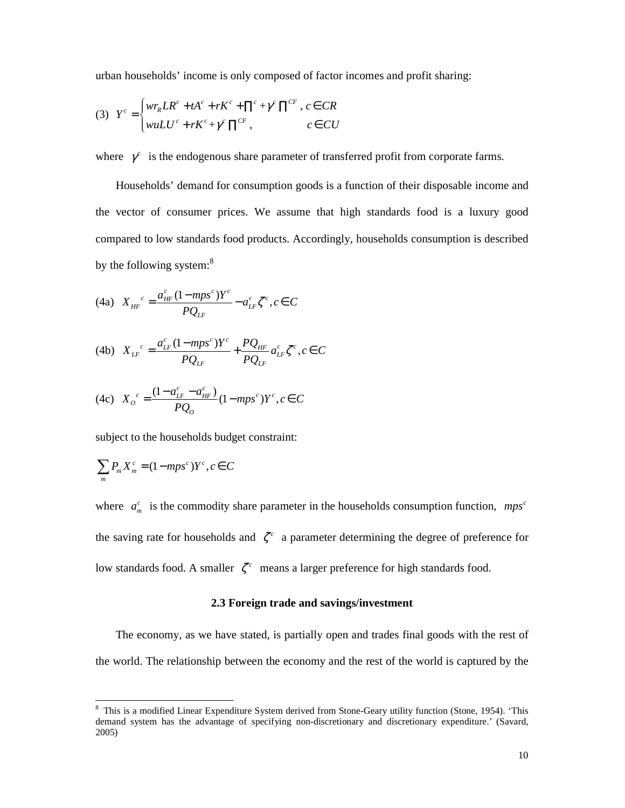urban households' income is only composed of factor incomes and profit sharing:

(3) 
$$
Y^{c} = \begin{cases} wr_{R}LR^{c} + tA^{c} + rK^{c} + \prod^{c} + \gamma^{c} \prod^{CF}, & c \in CR \\ wuLU^{c} + rK^{c} + \gamma^{c} \prod^{CF}, & c \in CU \end{cases}
$$

where  $\gamma^c$  is the endogenous share parameter of transferred profit from corporate farms.

Households' demand for consumption goods is a function of their disposable income and the vector of consumer prices. We assume that high standards food is a luxury good compared to low standards food products. Accordingly, households consumption is described by the following system: $8$ 

(4a) 
$$
X_{HF}^c = \frac{a_{HF}^c (1 - mps^c)Y^c}{PQ_{LF}} - a_{LF}^c \zeta^c, c \in C
$$

(4b) 
$$
X_{LF}^c = \frac{a_{LF}^c (1 - mps^c)Y^c}{PQ_{LF}} + \frac{PQ_{HF}}{PQ_{LF}} a_{LF}^c \zeta^c, c \in C
$$

(4c) 
$$
X_o^c = \frac{(1 - a_{LF}^c - a_{HF}^c)}{PQ_o}(1 - mps^c)Y^c, c \in C
$$

subject to the households budget constraint:

$$
\sum_{m} P_{m} X_{m}^{c} = (1 - mps^{c})Y^{c}, c \in C
$$

1

where  $a_m^c$  is the commodity share parameter in the households consumption function,  $mps^c$ the saving rate for households and  $\zeta^c$  a parameter determining the degree of preference for low standards food. A smaller  $\zeta^c$  means a larger preference for high standards food.

### **2.3 Foreign trade and savings/investment**

The economy, as we have stated, is partially open and trades final goods with the rest of the world. The relationship between the economy and the rest of the world is captured by the

<sup>&</sup>lt;sup>8</sup> This is a modified Linear Expenditure System derived from Stone-Geary utility function (Stone, 1954). 'This demand system has the advantage of specifying non-discretionary and discretionary expenditure.' (Savard, 2005)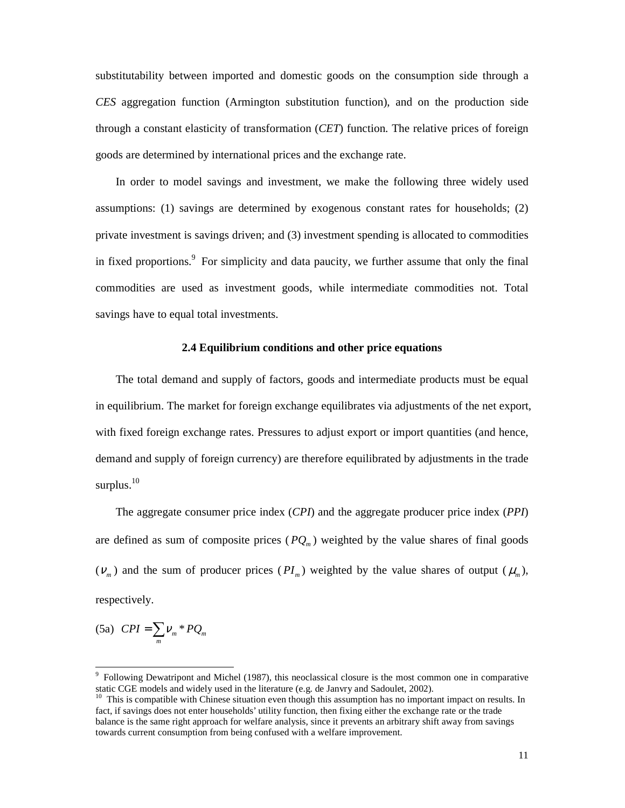substitutability between imported and domestic goods on the consumption side through a *CES* aggregation function (Armington substitution function), and on the production side through a constant elasticity of transformation (*CET*) function. The relative prices of foreign goods are determined by international prices and the exchange rate.

In order to model savings and investment, we make the following three widely used assumptions: (1) savings are determined by exogenous constant rates for households; (2) private investment is savings driven; and (3) investment spending is allocated to commodities in fixed proportions.<sup>9</sup> For simplicity and data paucity, we further assume that only the final commodities are used as investment goods, while intermediate commodities not. Total savings have to equal total investments.

## **2.4 Equilibrium conditions and other price equations**

The total demand and supply of factors, goods and intermediate products must be equal in equilibrium. The market for foreign exchange equilibrates via adjustments of the net export, with fixed foreign exchange rates. Pressures to adjust export or import quantities (and hence, demand and supply of foreign currency) are therefore equilibrated by adjustments in the trade surplus. $10$ 

The aggregate consumer price index (*CPI*) and the aggregate producer price index (*PPI*) are defined as sum of composite prices  $(PQ_m)$  weighted by the value shares of final goods  $(V_m)$  and the sum of producer prices  $(PI_m)$  weighted by the value shares of output  $(\mu_m)$ , respectively.

$$
(5a) \ \ CPI = \sum_{m} V_m * PQ_m
$$

-

<sup>9</sup> Following Dewatripont and Michel (1987), this neoclassical closure is the most common one in comparative static CGE models and widely used in the literature (e.g. de Janvry and Sadoulet, 2002).

<sup>&</sup>lt;sup>10</sup> This is compatible with Chinese situation even though this assumption has no important impact on results. In fact, if savings does not enter households' utility function, then fixing either the exchange rate or the trade balance is the same right approach for welfare analysis, since it prevents an arbitrary shift away from savings towards current consumption from being confused with a welfare improvement.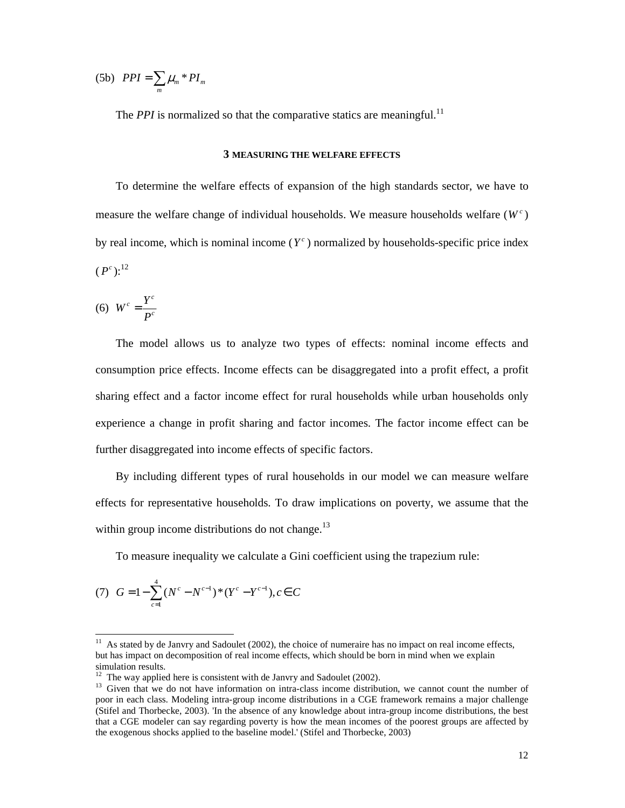$$
(5b) \quad PPI = \sum_{m} \mu_{m} * PI_{m}
$$

The *PPI* is normalized so that the comparative statics are meaningful.<sup>11</sup>

#### **3 MEASURING THE WELFARE EFFECTS**

To determine the welfare effects of expansion of the high standards sector, we have to measure the welfare change of individual households. We measure households welfare  $(W^c)$ by real income, which is nominal income  $(Y^c)$  normalized by households-specific price index  $(P^c)$ :  $^{12}$ 

$$
(6) \ \ W^c = \frac{Y^c}{P^c}
$$

The model allows us to analyze two types of effects: nominal income effects and consumption price effects. Income effects can be disaggregated into a profit effect, a profit sharing effect and a factor income effect for rural households while urban households only experience a change in profit sharing and factor incomes. The factor income effect can be further disaggregated into income effects of specific factors.

By including different types of rural households in our model we can measure welfare effects for representative households. To draw implications on poverty, we assume that the within group income distributions do not change. $^{13}$ 

To measure inequality we calculate a Gini coefficient using the trapezium rule:

(7) 
$$
G = 1 - \sum_{c=1}^{4} (N^c - N^{c-1}) \cdot (Y^c - Y^{c-1}), c \in C
$$

 $1\,1$ As stated by de Janvry and Sadoulet (2002), the choice of numeraire has no impact on real income effects, but has impact on decomposition of real income effects, which should be born in mind when we explain simulation results.

 $12$  The way applied here is consistent with de Janvry and Sadoulet (2002).

<sup>&</sup>lt;sup>13</sup> Given that we do not have information on intra-class income distribution, we cannot count the number of poor in each class. Modeling intra-group income distributions in a CGE framework remains a major challenge (Stifel and Thorbecke, 2003). 'In the absence of any knowledge about intra-group income distributions, the best that a CGE modeler can say regarding poverty is how the mean incomes of the poorest groups are affected by the exogenous shocks applied to the baseline model.' (Stifel and Thorbecke, 2003)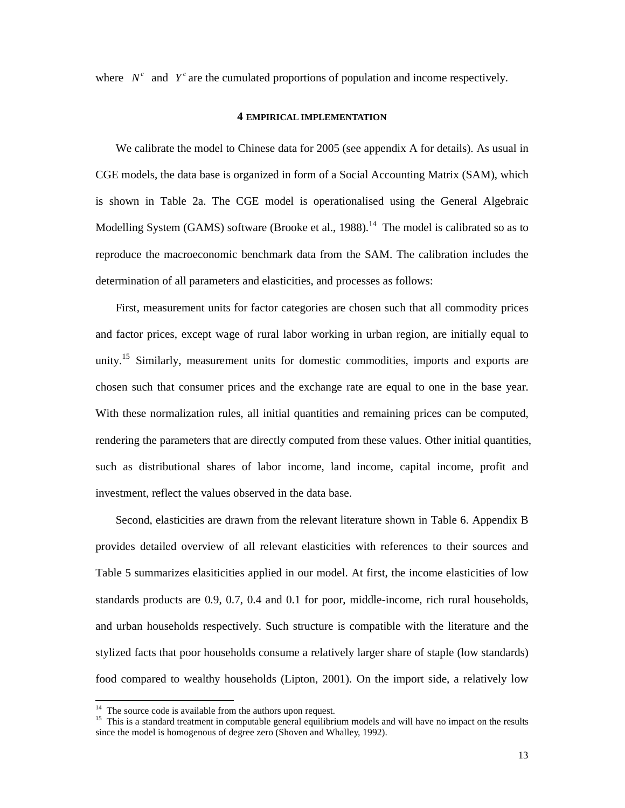where  $N^c$  and  $Y^c$  are the cumulated proportions of population and income respectively.

#### **4 EMPIRICAL IMPLEMENTATION**

We calibrate the model to Chinese data for 2005 (see appendix A for details). As usual in CGE models, the data base is organized in form of a Social Accounting Matrix (SAM), which is shown in Table 2a. The CGE model is operationalised using the General Algebraic Modelling System (GAMS) software (Brooke et al., 1988).<sup>14</sup> The model is calibrated so as to reproduce the macroeconomic benchmark data from the SAM. The calibration includes the determination of all parameters and elasticities, and processes as follows:

First, measurement units for factor categories are chosen such that all commodity prices and factor prices, except wage of rural labor working in urban region, are initially equal to unity.<sup>15</sup> Similarly, measurement units for domestic commodities, imports and exports are chosen such that consumer prices and the exchange rate are equal to one in the base year. With these normalization rules, all initial quantities and remaining prices can be computed, rendering the parameters that are directly computed from these values. Other initial quantities, such as distributional shares of labor income, land income, capital income, profit and investment, reflect the values observed in the data base.

Second, elasticities are drawn from the relevant literature shown in Table 6. Appendix B provides detailed overview of all relevant elasticities with references to their sources and Table 5 summarizes elasiticities applied in our model. At first, the income elasticities of low standards products are 0.9, 0.7, 0.4 and 0.1 for poor, middle-income, rich rural households, and urban households respectively. Such structure is compatible with the literature and the stylized facts that poor households consume a relatively larger share of staple (low standards) food compared to wealthy households (Lipton, 2001). On the import side, a relatively low

1

 $14$  The source code is available from the authors upon request.

 $15$  This is a standard treatment in computable general equilibrium models and will have no impact on the results since the model is homogenous of degree zero (Shoven and Whalley, 1992).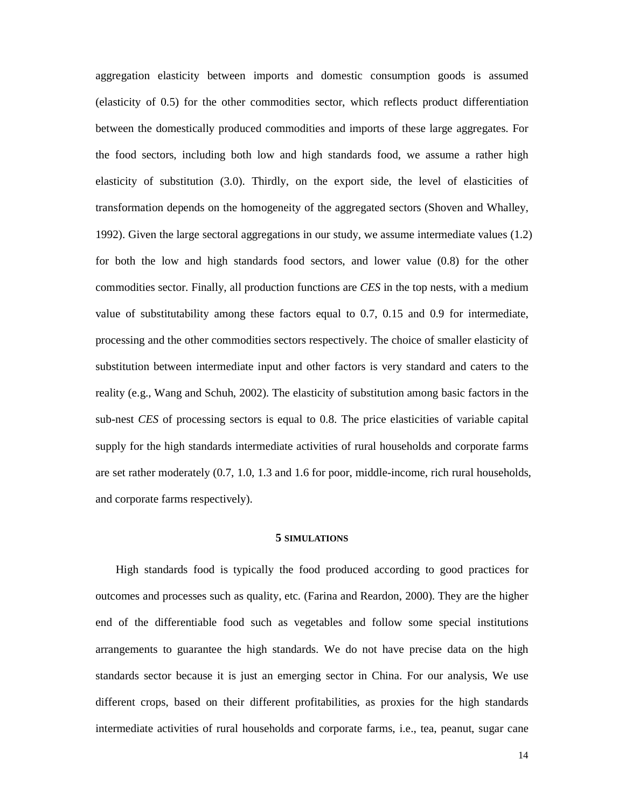aggregation elasticity between imports and domestic consumption goods is assumed (elasticity of 0.5) for the other commodities sector, which reflects product differentiation between the domestically produced commodities and imports of these large aggregates. For the food sectors, including both low and high standards food, we assume a rather high elasticity of substitution (3.0). Thirdly, on the export side, the level of elasticities of transformation depends on the homogeneity of the aggregated sectors (Shoven and Whalley, 1992). Given the large sectoral aggregations in our study, we assume intermediate values (1.2) for both the low and high standards food sectors, and lower value (0.8) for the other commodities sector. Finally, all production functions are *CES* in the top nests, with a medium value of substitutability among these factors equal to 0.7, 0.15 and 0.9 for intermediate, processing and the other commodities sectors respectively. The choice of smaller elasticity of substitution between intermediate input and other factors is very standard and caters to the reality (e.g., Wang and Schuh, 2002). The elasticity of substitution among basic factors in the sub-nest *CES* of processing sectors is equal to 0.8. The price elasticities of variable capital supply for the high standards intermediate activities of rural households and corporate farms are set rather moderately (0.7, 1.0, 1.3 and 1.6 for poor, middle-income, rich rural households, and corporate farms respectively).

#### **5 SIMULATIONS**

High standards food is typically the food produced according to good practices for outcomes and processes such as quality, etc. (Farina and Reardon, 2000). They are the higher end of the differentiable food such as vegetables and follow some special institutions arrangements to guarantee the high standards. We do not have precise data on the high standards sector because it is just an emerging sector in China. For our analysis, We use different crops, based on their different profitabilities, as proxies for the high standards intermediate activities of rural households and corporate farms, i.e., tea, peanut, sugar cane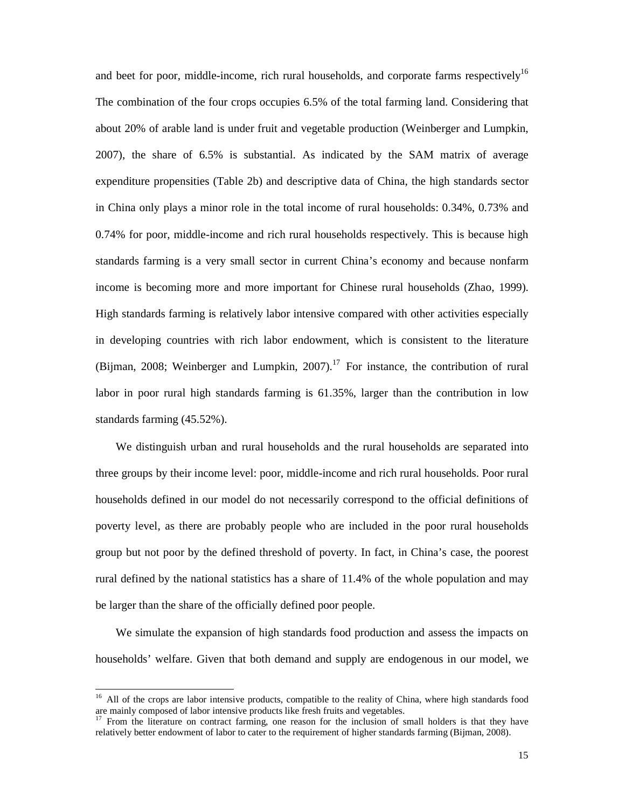and beet for poor, middle-income, rich rural households, and corporate farms respectively<sup>16</sup> The combination of the four crops occupies 6.5% of the total farming land. Considering that about 20% of arable land is under fruit and vegetable production (Weinberger and Lumpkin, 2007), the share of 6.5% is substantial. As indicated by the SAM matrix of average expenditure propensities (Table 2b) and descriptive data of China, the high standards sector in China only plays a minor role in the total income of rural households: 0.34%, 0.73% and 0.74% for poor, middle-income and rich rural households respectively. This is because high standards farming is a very small sector in current China's economy and because nonfarm income is becoming more and more important for Chinese rural households (Zhao, 1999). High standards farming is relatively labor intensive compared with other activities especially in developing countries with rich labor endowment, which is consistent to the literature (Bijman, 2008; Weinberger and Lumpkin, 2007).<sup>17</sup> For instance, the contribution of rural labor in poor rural high standards farming is 61.35%, larger than the contribution in low standards farming (45.52%).

We distinguish urban and rural households and the rural households are separated into three groups by their income level: poor, middle-income and rich rural households. Poor rural households defined in our model do not necessarily correspond to the official definitions of poverty level, as there are probably people who are included in the poor rural households group but not poor by the defined threshold of poverty. In fact, in China's case, the poorest rural defined by the national statistics has a share of 11.4% of the whole population and may be larger than the share of the officially defined poor people.

We simulate the expansion of high standards food production and assess the impacts on households' welfare. Given that both demand and supply are endogenous in our model, we

 $\overline{a}$ 

<sup>&</sup>lt;sup>16</sup> All of the crops are labor intensive products, compatible to the reality of China, where high standards food are mainly composed of labor intensive products like fresh fruits and vegetables.

 $17$  From the literature on contract farming, one reason for the inclusion of small holders is that they have relatively better endowment of labor to cater to the requirement of higher standards farming (Bijman, 2008).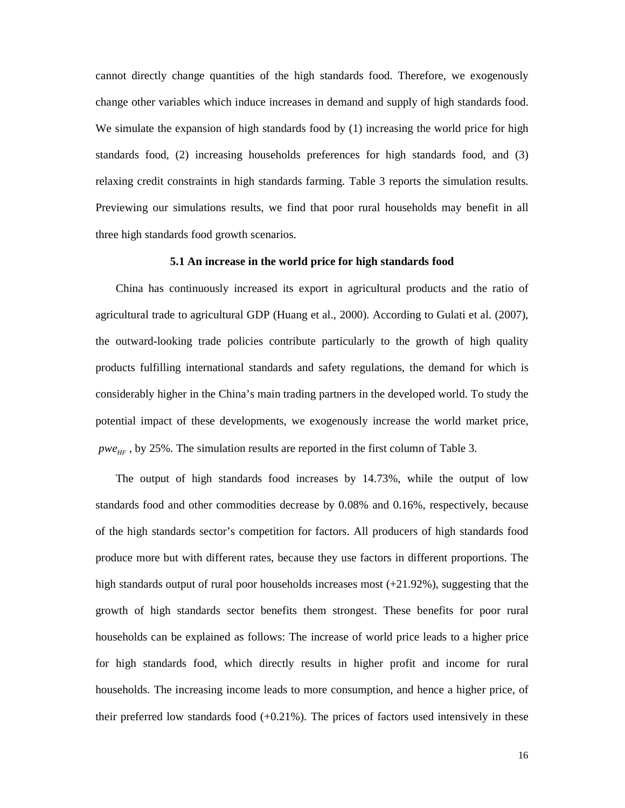cannot directly change quantities of the high standards food. Therefore, we exogenously change other variables which induce increases in demand and supply of high standards food. We simulate the expansion of high standards food by (1) increasing the world price for high standards food, (2) increasing households preferences for high standards food, and (3) relaxing credit constraints in high standards farming. Table 3 reports the simulation results. Previewing our simulations results, we find that poor rural households may benefit in all three high standards food growth scenarios.

#### **5.1 An increase in the world price for high standards food**

China has continuously increased its export in agricultural products and the ratio of agricultural trade to agricultural GDP (Huang et al., 2000). According to Gulati et al. (2007), the outward-looking trade policies contribute particularly to the growth of high quality products fulfilling international standards and safety regulations, the demand for which is considerably higher in the China's main trading partners in the developed world. To study the potential impact of these developments, we exogenously increase the world market price,  $pwe_{HF}$ , by 25%. The simulation results are reported in the first column of Table 3.

The output of high standards food increases by 14.73%, while the output of low standards food and other commodities decrease by 0.08% and 0.16%, respectively, because of the high standards sector's competition for factors. All producers of high standards food produce more but with different rates, because they use factors in different proportions. The high standards output of rural poor households increases most  $(+21.92\%)$ , suggesting that the growth of high standards sector benefits them strongest. These benefits for poor rural households can be explained as follows: The increase of world price leads to a higher price for high standards food, which directly results in higher profit and income for rural households. The increasing income leads to more consumption, and hence a higher price, of their preferred low standards food  $(+0.21\%)$ . The prices of factors used intensively in these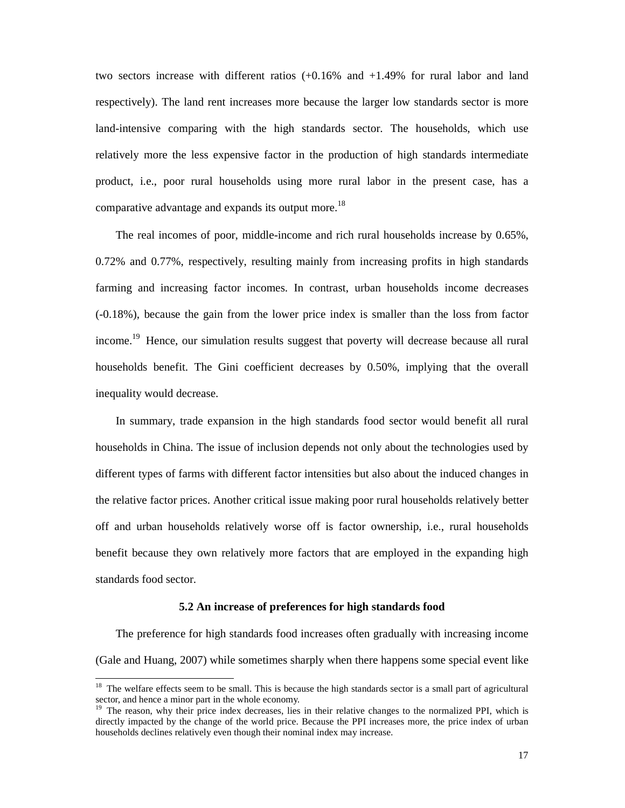two sectors increase with different ratios (+0.16% and +1.49% for rural labor and land respectively). The land rent increases more because the larger low standards sector is more land-intensive comparing with the high standards sector. The households, which use relatively more the less expensive factor in the production of high standards intermediate product, i.e., poor rural households using more rural labor in the present case, has a comparative advantage and expands its output more.<sup>18</sup>

The real incomes of poor, middle-income and rich rural households increase by 0.65%, 0.72% and 0.77%, respectively, resulting mainly from increasing profits in high standards farming and increasing factor incomes. In contrast, urban households income decreases (-0.18%), because the gain from the lower price index is smaller than the loss from factor income.<sup>19</sup> Hence, our simulation results suggest that poverty will decrease because all rural households benefit. The Gini coefficient decreases by 0.50%, implying that the overall inequality would decrease.

In summary, trade expansion in the high standards food sector would benefit all rural households in China. The issue of inclusion depends not only about the technologies used by different types of farms with different factor intensities but also about the induced changes in the relative factor prices. Another critical issue making poor rural households relatively better off and urban households relatively worse off is factor ownership, i.e., rural households benefit because they own relatively more factors that are employed in the expanding high standards food sector.

### **5.2 An increase of preferences for high standards food**

The preference for high standards food increases often gradually with increasing income (Gale and Huang, 2007) while sometimes sharply when there happens some special event like

-

 $18$  The welfare effects seem to be small. This is because the high standards sector is a small part of agricultural sector, and hence a minor part in the whole economy.

<sup>19</sup> The reason, why their price index decreases, lies in their relative changes to the normalized PPI, which is directly impacted by the change of the world price. Because the PPI increases more, the price index of urban households declines relatively even though their nominal index may increase.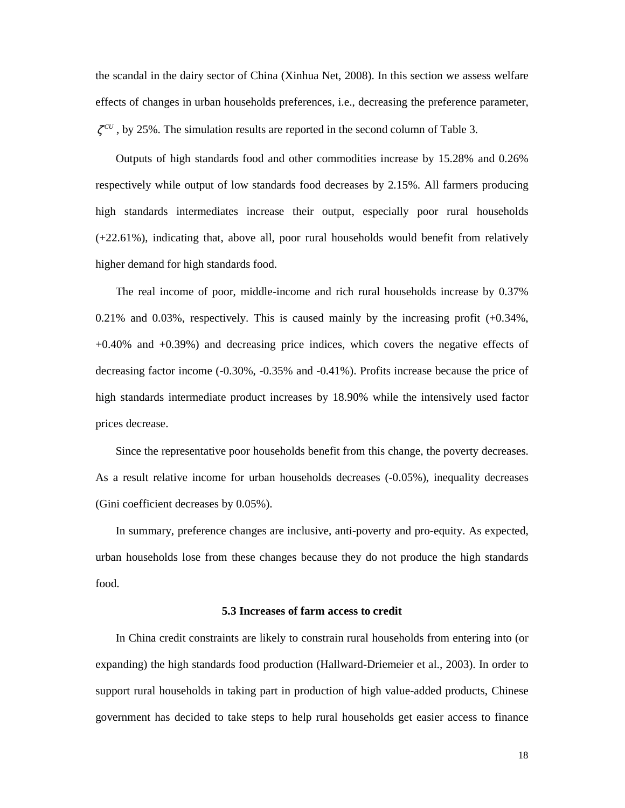the scandal in the dairy sector of China (Xinhua Net, 2008). In this section we assess welfare effects of changes in urban households preferences, i.e., decreasing the preference parameter,  $\zeta^{CU}$ , by 25%. The simulation results are reported in the second column of Table 3.

Outputs of high standards food and other commodities increase by 15.28% and 0.26% respectively while output of low standards food decreases by 2.15%. All farmers producing high standards intermediates increase their output, especially poor rural households (+22.61%), indicating that, above all, poor rural households would benefit from relatively higher demand for high standards food.

The real income of poor, middle-income and rich rural households increase by 0.37% 0.21% and 0.03%, respectively. This is caused mainly by the increasing profit (+0.34%, +0.40% and +0.39%) and decreasing price indices, which covers the negative effects of decreasing factor income (-0.30%, -0.35% and -0.41%). Profits increase because the price of high standards intermediate product increases by 18.90% while the intensively used factor prices decrease.

Since the representative poor households benefit from this change, the poverty decreases. As a result relative income for urban households decreases (-0.05%), inequality decreases (Gini coefficient decreases by 0.05%).

In summary, preference changes are inclusive, anti-poverty and pro-equity. As expected, urban households lose from these changes because they do not produce the high standards food.

## **5.3 Increases of farm access to credit**

In China credit constraints are likely to constrain rural households from entering into (or expanding) the high standards food production (Hallward-Driemeier et al., 2003). In order to support rural households in taking part in production of high value-added products, Chinese government has decided to take steps to help rural households get easier access to finance

18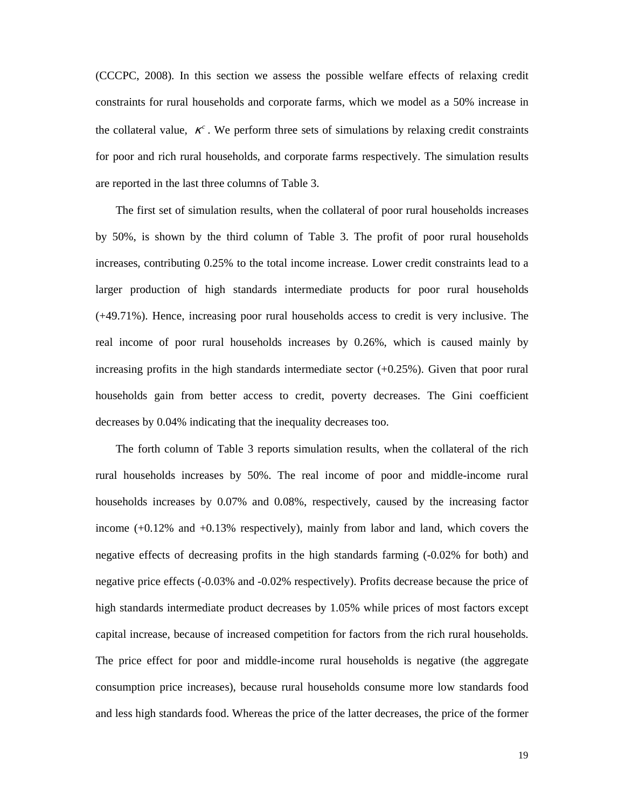(CCCPC, 2008). In this section we assess the possible welfare effects of relaxing credit constraints for rural households and corporate farms, which we model as a 50% increase in the collateral value,  $\kappa^c$ . We perform three sets of simulations by relaxing credit constraints for poor and rich rural households, and corporate farms respectively. The simulation results are reported in the last three columns of Table 3.

The first set of simulation results, when the collateral of poor rural households increases by 50%, is shown by the third column of Table 3. The profit of poor rural households increases, contributing 0.25% to the total income increase. Lower credit constraints lead to a larger production of high standards intermediate products for poor rural households (+49.71%). Hence, increasing poor rural households access to credit is very inclusive. The real income of poor rural households increases by 0.26%, which is caused mainly by increasing profits in the high standards intermediate sector  $(+0.25\%)$ . Given that poor rural households gain from better access to credit, poverty decreases. The Gini coefficient decreases by 0.04% indicating that the inequality decreases too.

The forth column of Table 3 reports simulation results, when the collateral of the rich rural households increases by 50%. The real income of poor and middle-income rural households increases by 0.07% and 0.08%, respectively, caused by the increasing factor income (+0.12% and +0.13% respectively), mainly from labor and land, which covers the negative effects of decreasing profits in the high standards farming (-0.02% for both) and negative price effects (-0.03% and -0.02% respectively). Profits decrease because the price of high standards intermediate product decreases by 1.05% while prices of most factors except capital increase, because of increased competition for factors from the rich rural households. The price effect for poor and middle-income rural households is negative (the aggregate consumption price increases), because rural households consume more low standards food and less high standards food. Whereas the price of the latter decreases, the price of the former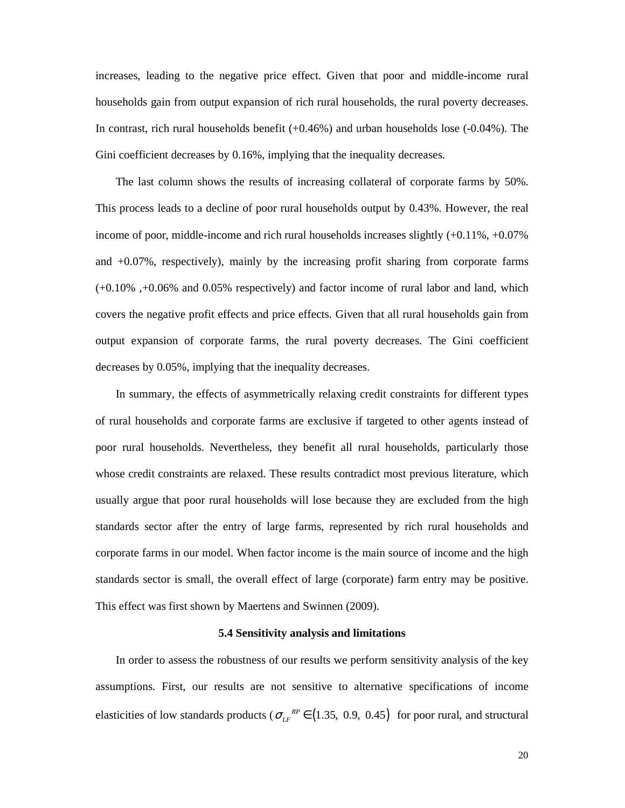increases, leading to the negative price effect. Given that poor and middle-income rural households gain from output expansion of rich rural households, the rural poverty decreases. In contrast, rich rural households benefit (+0.46%) and urban households lose (-0.04%). The Gini coefficient decreases by 0.16%, implying that the inequality decreases.

The last column shows the results of increasing collateral of corporate farms by 50%. This process leads to a decline of poor rural households output by 0.43%. However, the real income of poor, middle-income and rich rural households increases slightly (+0.11%, +0.07% and +0.07%, respectively), mainly by the increasing profit sharing from corporate farms (+0.10% ,+0.06% and 0.05% respectively) and factor income of rural labor and land, which covers the negative profit effects and price effects. Given that all rural households gain from output expansion of corporate farms, the rural poverty decreases. The Gini coefficient decreases by 0.05%, implying that the inequality decreases.

In summary, the effects of asymmetrically relaxing credit constraints for different types of rural households and corporate farms are exclusive if targeted to other agents instead of poor rural households. Nevertheless, they benefit all rural households, particularly those whose credit constraints are relaxed. These results contradict most previous literature, which usually argue that poor rural households will lose because they are excluded from the high standards sector after the entry of large farms, represented by rich rural households and corporate farms in our model. When factor income is the main source of income and the high standards sector is small, the overall effect of large (corporate) farm entry may be positive. This effect was first shown by Maertens and Swinnen (2009).

## **5.4 Sensitivity analysis and limitations**

In order to assess the robustness of our results we perform sensitivity analysis of the key assumptions. First, our results are not sensitive to alternative specifications of income elasticities of low standards products ( $\sigma_{LF}^{RP} \in (1.35, 0.9, 0.45)$  for poor rural, and structural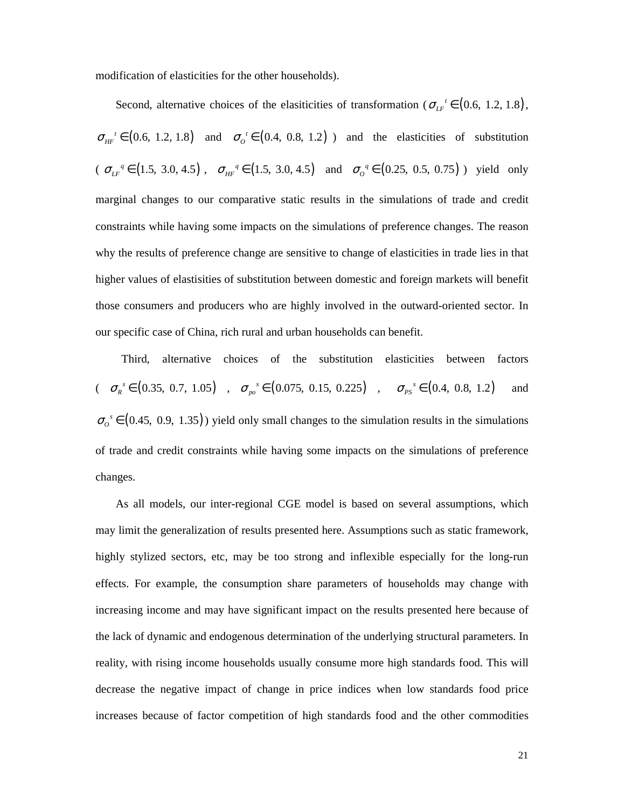modification of elasticities for the other households).

Second, alternative choices of the elasiticities of transformation ( $\sigma_{LF}^t \in (0.6, 1.2, 1.8)$ ,  $\sigma_{HF}^{\phantom{HF}} \in (0.6, 1.2, 1.8)$  and  $\sigma_o^{\phantom{o}t} \in (0.4, 0.8, 1.2)$  and the elasticities of substitution  $\sigma_{LF}^{q} \in (1.5, 3.0, 4.5)$ ,  $\sigma_{HF}^{q} \in (1.5, 3.0, 4.5)$  and  $\sigma_{O}^{q} \in (0.25, 0.5, 0.75)$ ) yield only marginal changes to our comparative static results in the simulations of trade and credit constraints while having some impacts on the simulations of preference changes. The reason why the results of preference change are sensitive to change of elasticities in trade lies in that higher values of elastisities of substitution between domestic and foreign markets will benefit those consumers and producers who are highly involved in the outward-oriented sector. In our specific case of China, rich rural and urban households can benefit.

 Third, alternative choices of the substitution elasticities between factors  $(\sigma_R^s \in (0.35, 0.7, 1.05)$ ,  $\sigma_{po}^s \in (0.075, 0.15, 0.225)$ ,  $\sigma_{ps}^s \in (0.4, 0.8, 1.2)$  and  $\sigma_o^s \in (0.45, 0.9, 1.35)$ ) yield only small changes to the simulation results in the simulations of trade and credit constraints while having some impacts on the simulations of preference changes.

As all models, our inter-regional CGE model is based on several assumptions, which may limit the generalization of results presented here. Assumptions such as static framework, highly stylized sectors, etc, may be too strong and inflexible especially for the long-run effects. For example, the consumption share parameters of households may change with increasing income and may have significant impact on the results presented here because of the lack of dynamic and endogenous determination of the underlying structural parameters. In reality, with rising income households usually consume more high standards food. This will decrease the negative impact of change in price indices when low standards food price increases because of factor competition of high standards food and the other commodities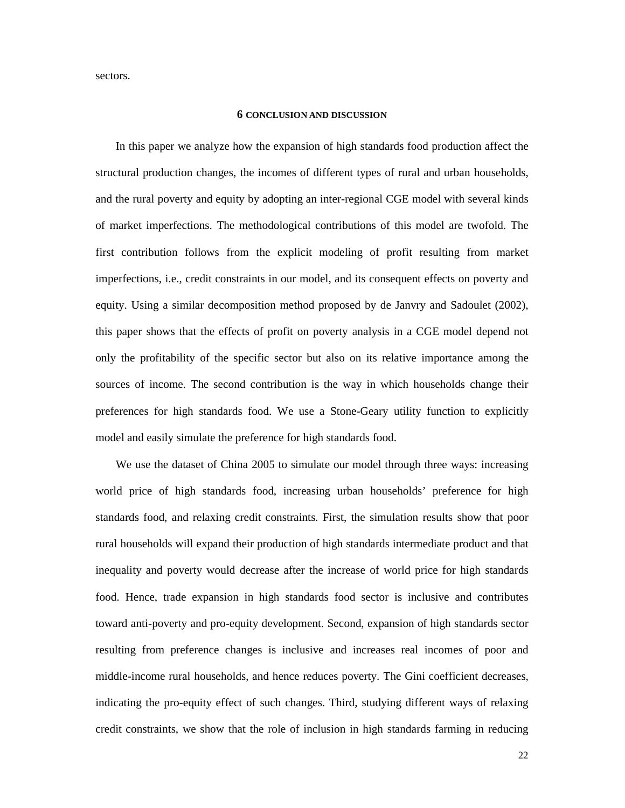sectors.

#### **6 CONCLUSION AND DISCUSSION**

In this paper we analyze how the expansion of high standards food production affect the structural production changes, the incomes of different types of rural and urban households, and the rural poverty and equity by adopting an inter-regional CGE model with several kinds of market imperfections. The methodological contributions of this model are twofold. The first contribution follows from the explicit modeling of profit resulting from market imperfections, i.e., credit constraints in our model, and its consequent effects on poverty and equity. Using a similar decomposition method proposed by de Janvry and Sadoulet (2002), this paper shows that the effects of profit on poverty analysis in a CGE model depend not only the profitability of the specific sector but also on its relative importance among the sources of income. The second contribution is the way in which households change their preferences for high standards food. We use a Stone-Geary utility function to explicitly model and easily simulate the preference for high standards food.

We use the dataset of China 2005 to simulate our model through three ways: increasing world price of high standards food, increasing urban households' preference for high standards food, and relaxing credit constraints. First, the simulation results show that poor rural households will expand their production of high standards intermediate product and that inequality and poverty would decrease after the increase of world price for high standards food. Hence, trade expansion in high standards food sector is inclusive and contributes toward anti-poverty and pro-equity development. Second, expansion of high standards sector resulting from preference changes is inclusive and increases real incomes of poor and middle-income rural households, and hence reduces poverty. The Gini coefficient decreases, indicating the pro-equity effect of such changes. Third, studying different ways of relaxing credit constraints, we show that the role of inclusion in high standards farming in reducing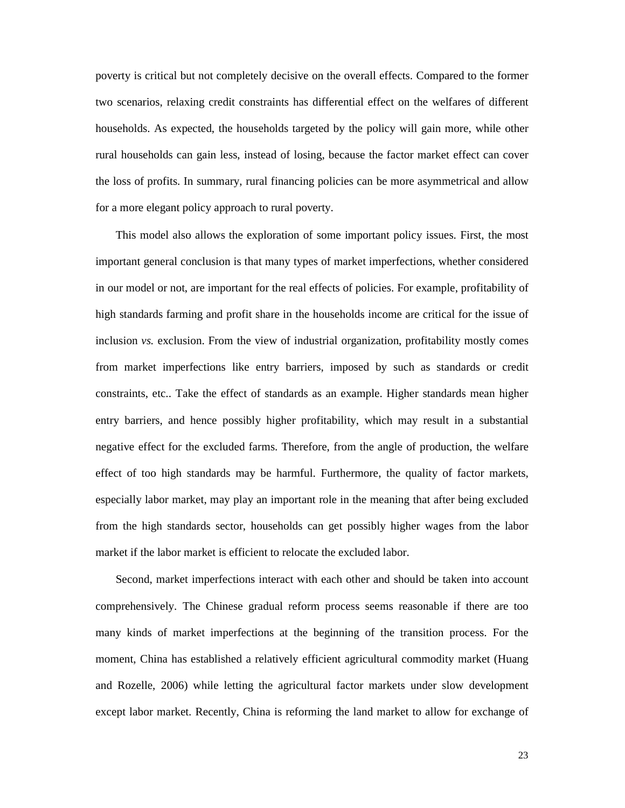poverty is critical but not completely decisive on the overall effects. Compared to the former two scenarios, relaxing credit constraints has differential effect on the welfares of different households. As expected, the households targeted by the policy will gain more, while other rural households can gain less, instead of losing, because the factor market effect can cover the loss of profits. In summary, rural financing policies can be more asymmetrical and allow for a more elegant policy approach to rural poverty.

This model also allows the exploration of some important policy issues. First, the most important general conclusion is that many types of market imperfections, whether considered in our model or not, are important for the real effects of policies. For example, profitability of high standards farming and profit share in the households income are critical for the issue of inclusion *vs.* exclusion. From the view of industrial organization, profitability mostly comes from market imperfections like entry barriers, imposed by such as standards or credit constraints, etc.. Take the effect of standards as an example. Higher standards mean higher entry barriers, and hence possibly higher profitability, which may result in a substantial negative effect for the excluded farms. Therefore, from the angle of production, the welfare effect of too high standards may be harmful. Furthermore, the quality of factor markets, especially labor market, may play an important role in the meaning that after being excluded from the high standards sector, households can get possibly higher wages from the labor market if the labor market is efficient to relocate the excluded labor.

Second, market imperfections interact with each other and should be taken into account comprehensively. The Chinese gradual reform process seems reasonable if there are too many kinds of market imperfections at the beginning of the transition process. For the moment, China has established a relatively efficient agricultural commodity market (Huang and Rozelle, 2006) while letting the agricultural factor markets under slow development except labor market. Recently, China is reforming the land market to allow for exchange of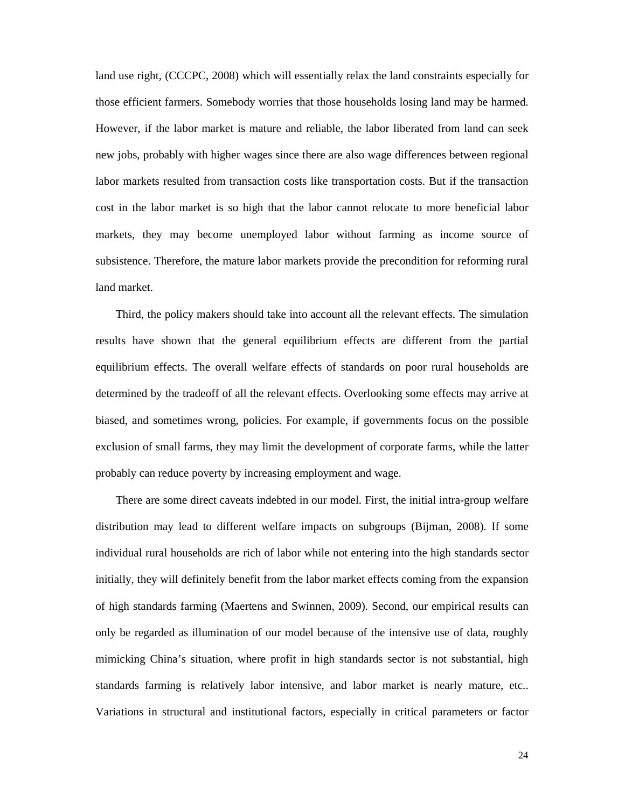land use right, (CCCPC, 2008) which will essentially relax the land constraints especially for those efficient farmers. Somebody worries that those households losing land may be harmed. However, if the labor market is mature and reliable, the labor liberated from land can seek new jobs, probably with higher wages since there are also wage differences between regional labor markets resulted from transaction costs like transportation costs. But if the transaction cost in the labor market is so high that the labor cannot relocate to more beneficial labor markets, they may become unemployed labor without farming as income source of subsistence. Therefore, the mature labor markets provide the precondition for reforming rural land market.

Third, the policy makers should take into account all the relevant effects. The simulation results have shown that the general equilibrium effects are different from the partial equilibrium effects. The overall welfare effects of standards on poor rural households are determined by the tradeoff of all the relevant effects. Overlooking some effects may arrive at biased, and sometimes wrong, policies. For example, if governments focus on the possible exclusion of small farms, they may limit the development of corporate farms, while the latter probably can reduce poverty by increasing employment and wage.

There are some direct caveats indebted in our model. First, the initial intra-group welfare distribution may lead to different welfare impacts on subgroups (Bijman, 2008). If some individual rural households are rich of labor while not entering into the high standards sector initially, they will definitely benefit from the labor market effects coming from the expansion of high standards farming (Maertens and Swinnen, 2009). Second, our empirical results can only be regarded as illumination of our model because of the intensive use of data, roughly mimicking China's situation, where profit in high standards sector is not substantial, high standards farming is relatively labor intensive, and labor market is nearly mature, etc.. Variations in structural and institutional factors, especially in critical parameters or factor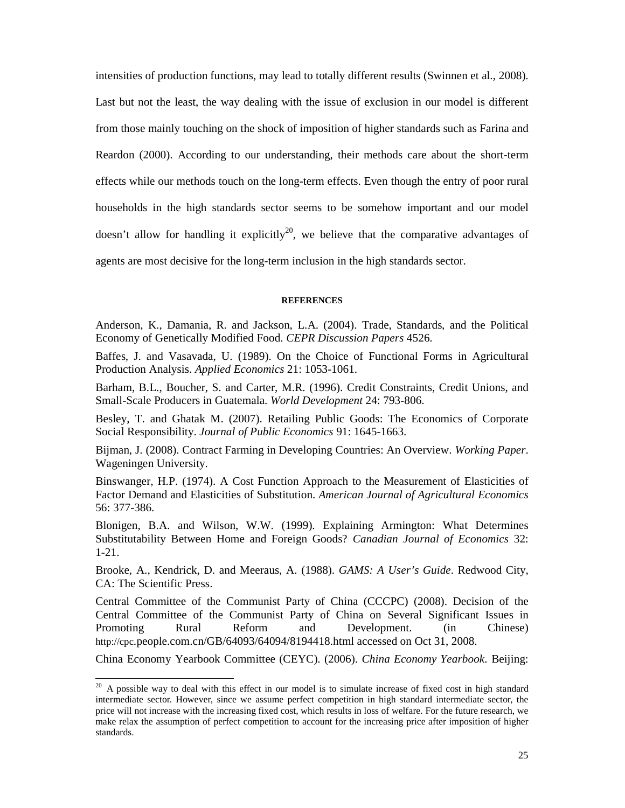intensities of production functions, may lead to totally different results (Swinnen et al., 2008). Last but not the least, the way dealing with the issue of exclusion in our model is different from those mainly touching on the shock of imposition of higher standards such as Farina and Reardon (2000). According to our understanding, their methods care about the short-term effects while our methods touch on the long-term effects. Even though the entry of poor rural households in the high standards sector seems to be somehow important and our model doesn't allow for handling it explicitly<sup>20</sup>, we believe that the comparative advantages of agents are most decisive for the long-term inclusion in the high standards sector.

#### **REFERENCES**

Anderson, K., Damania, R. and Jackson, L.A. (2004). Trade, Standards, and the Political Economy of Genetically Modified Food. *CEPR Discussion Papers* 4526.

Baffes, J. and Vasavada, U. (1989). On the Choice of Functional Forms in Agricultural Production Analysis. *Applied Economics* 21: 1053-1061.

Barham, B.L., Boucher, S. and Carter, M.R. (1996). Credit Constraints, Credit Unions, and Small-Scale Producers in Guatemala. *World Development* 24: 793-806.

Besley, T. and Ghatak M. (2007). Retailing Public Goods: The Economics of Corporate Social Responsibility. *Journal of Public Economics* 91: 1645-1663.

Bijman, J. (2008). Contract Farming in Developing Countries: An Overview. *Working Paper*. Wageningen University.

Binswanger, H.P. (1974). A Cost Function Approach to the Measurement of Elasticities of Factor Demand and Elasticities of Substitution. *American Journal of Agricultural Economics* 56: 377-386.

Blonigen, B.A. and Wilson, W.W. (1999). Explaining Armington: What Determines Substitutability Between Home and Foreign Goods? *Canadian Journal of Economics* 32: 1-21.

Brooke, A., Kendrick, D. and Meeraus, A. (1988). *GAMS: A User's Guide*. Redwood City, CA: The Scientific Press.

Central Committee of the Communist Party of China (CCCPC) (2008). Decision of the Central Committee of the Communist Party of China on Several Significant Issues in Promoting Rural Reform and Development. (in Chinese) http://cpc.people.com.cn/GB/64093/64094/8194418.html accessed on Oct 31, 2008.

China Economy Yearbook Committee (CEYC). (2006). *China Economy Yearbook*. Beijing:

-

 $20$  A possible way to deal with this effect in our model is to simulate increase of fixed cost in high standard intermediate sector. However, since we assume perfect competition in high standard intermediate sector, the price will not increase with the increasing fixed cost, which results in loss of welfare. For the future research, we make relax the assumption of perfect competition to account for the increasing price after imposition of higher standards.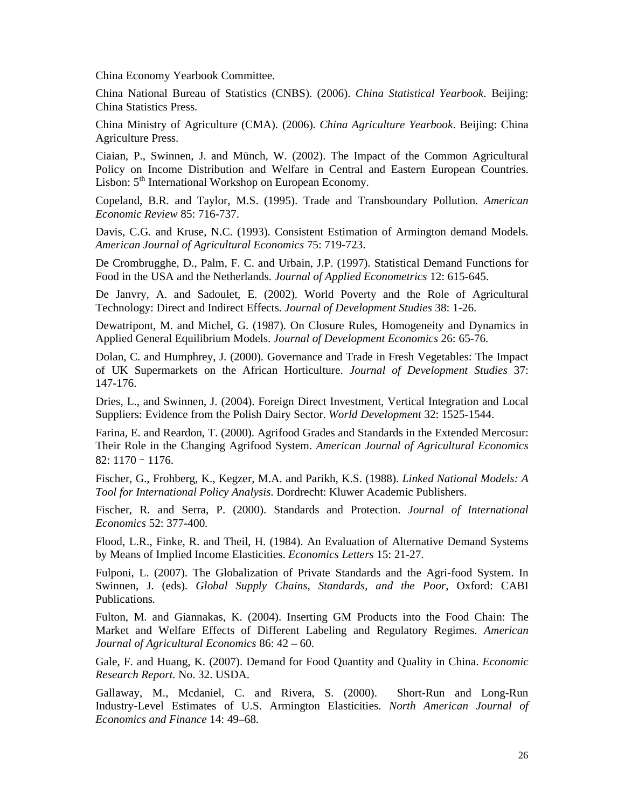China Economy Yearbook Committee.

China National Bureau of Statistics (CNBS). (2006). *China Statistical Yearbook*. Beijing: China Statistics Press.

China Ministry of Agriculture (CMA). (2006). *China Agriculture Yearbook*. Beijing: China Agriculture Press.

Ciaian, P., Swinnen, J. and Münch, W. (2002). The Impact of the Common Agricultural Policy on Income Distribution and Welfare in Central and Eastern European Countries. Lisbon:  $5<sup>th</sup>$  International Workshop on European Economy.

Copeland, B.R. and Taylor, M.S. (1995). Trade and Transboundary Pollution. *American Economic Review* 85: 716-737.

Davis, C.G. and Kruse, N.C. (1993). Consistent Estimation of Armington demand Models. *American Journal of Agricultural Economics* 75: 719-723.

De Crombrugghe, D., Palm, F. C. and Urbain, J.P. (1997). Statistical Demand Functions for Food in the USA and the Netherlands. *Journal of Applied Econometrics* 12: 615-645.

De Janvry, A. and Sadoulet, E. (2002). World Poverty and the Role of Agricultural Technology: Direct and Indirect Effects. *Journal of Development Studies* 38: 1-26.

Dewatripont, M. and Michel, G. (1987). On Closure Rules, Homogeneity and Dynamics in Applied General Equilibrium Models. *Journal of Development Economics* 26: 65-76.

Dolan, C. and Humphrey, J. (2000). Governance and Trade in Fresh Vegetables: The Impact of UK Supermarkets on the African Horticulture. *Journal of Development Studies* 37: 147-176.

Dries, L., and Swinnen, J. (2004). Foreign Direct Investment, Vertical Integration and Local Suppliers: Evidence from the Polish Dairy Sector. *World Development* 32: 1525-1544.

Farina, E. and Reardon, T. (2000). Agrifood Grades and Standards in the Extended Mercosur: Their Role in the Changing Agrifood System. *American Journal of Agricultural Economics* 82: 1170–1176.

Fischer, G., Frohberg, K., Kegzer, M.A. and Parikh, K.S. (1988). *Linked National Models: A Tool for International Policy Analysis*. Dordrecht: Kluwer Academic Publishers.

Fischer, R. and Serra, P. (2000). Standards and Protection. *Journal of International Economics* 52: 377-400.

Flood, L.R., Finke, R. and Theil, H. (1984). An Evaluation of Alternative Demand Systems by Means of Implied Income Elasticities. *Economics Letters* 15: 21-27.

Fulponi, L. (2007). The Globalization of Private Standards and the Agri-food System. In Swinnen, J. (eds). *Global Supply Chains, Standards, and the Poor*, Oxford: CABI Publications.

Fulton, M. and Giannakas, K. (2004). Inserting GM Products into the Food Chain: The Market and Welfare Effects of Different Labeling and Regulatory Regimes. *American Journal of Agricultural Economics* 86: 42 – 60.

Gale, F. and Huang, K. (2007). Demand for Food Quantity and Quality in China. *Economic Research Report*. No. 32. USDA.

Gallaway, M., Mcdaniel, C. and Rivera, S. (2000). Short-Run and Long-Run Industry-Level Estimates of U.S. Armington Elasticities. *North American Journal of Economics and Finance* 14: 49–68.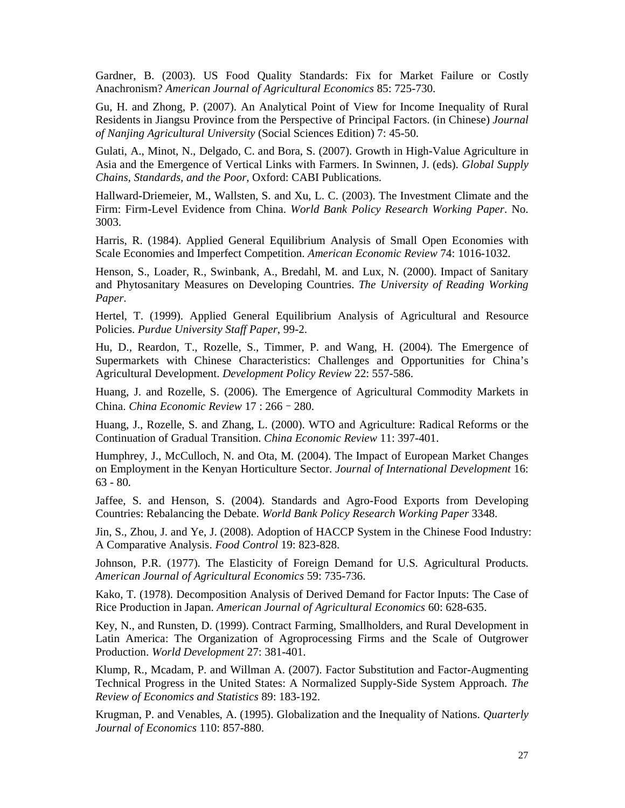Gardner, B. (2003). US Food Quality Standards: Fix for Market Failure or Costly Anachronism? *American Journal of Agricultural Economics* 85: 725-730.

Gu, H. and Zhong, P. (2007). An Analytical Point of View for Income Inequality of Rural Residents in Jiangsu Province from the Perspective of Principal Factors. (in Chinese) *Journal of Nanjing Agricultural University* (Social Sciences Edition) 7: 45-50.

Gulati, A., Minot, N., Delgado, C. and Bora, S. (2007). Growth in High-Value Agriculture in Asia and the Emergence of Vertical Links with Farmers. In Swinnen, J. (eds). *Global Supply Chains, Standards, and the Poor*, Oxford: CABI Publications.

Hallward-Driemeier, M., Wallsten, S. and Xu, L. C. (2003). The Investment Climate and the Firm: Firm-Level Evidence from China. *World Bank Policy Research Working Paper*. No. 3003.

Harris, R. (1984). Applied General Equilibrium Analysis of Small Open Economies with Scale Economies and Imperfect Competition. *American Economic Review* 74: 1016-1032.

Henson, S., Loader, R., Swinbank, A., Bredahl, M. and Lux, N. (2000). Impact of Sanitary and Phytosanitary Measures on Developing Countries. *The University of Reading Working Paper*.

Hertel, T. (1999). Applied General Equilibrium Analysis of Agricultural and Resource Policies. *Purdue University Staff Paper*, 99-2.

Hu, D., Reardon, T., Rozelle, S., Timmer, P. and Wang, H. (2004). The Emergence of Supermarkets with Chinese Characteristics: Challenges and Opportunities for China's Agricultural Development. *Development Policy Review* 22: 557-586.

Huang, J. and Rozelle, S. (2006). The Emergence of Agricultural Commodity Markets in China. *China Economic Review* 17 : 266–280.

Huang, J., Rozelle, S. and Zhang, L. (2000). WTO and Agriculture: Radical Reforms or the Continuation of Gradual Transition. *China Economic Review* 11: 397-401.

Humphrey, J., McCulloch, N. and Ota, M. (2004). The Impact of European Market Changes on Employment in the Kenyan Horticulture Sector. *Journal of International Development* 16: 63 - 80.

Jaffee, S. and Henson, S. (2004). Standards and Agro-Food Exports from Developing Countries: Rebalancing the Debate. *World Bank Policy Research Working Paper* 3348.

Jin, S., Zhou, J. and Ye, J. (2008). Adoption of HACCP System in the Chinese Food Industry: A Comparative Analysis. *Food Control* 19: 823-828.

Johnson, P.R. (1977). The Elasticity of Foreign Demand for U.S. Agricultural Products. *American Journal of Agricultural Economics* 59: 735-736.

Kako, T. (1978). Decomposition Analysis of Derived Demand for Factor Inputs: The Case of Rice Production in Japan. *American Journal of Agricultural Economics* 60: 628-635.

Key, N., and Runsten, D. (1999). Contract Farming, Smallholders, and Rural Development in Latin America: The Organization of Agroprocessing Firms and the Scale of Outgrower Production. *World Development* 27: 381-401.

Klump, R., Mcadam, P. and Willman A. (2007). Factor Substitution and Factor-Augmenting Technical Progress in the United States: A Normalized Supply-Side System Approach. *The Review of Economics and Statistics* 89: 183-192.

Krugman, P. and Venables, A. (1995). Globalization and the Inequality of Nations. *Quarterly Journal of Economics* 110: 857-880.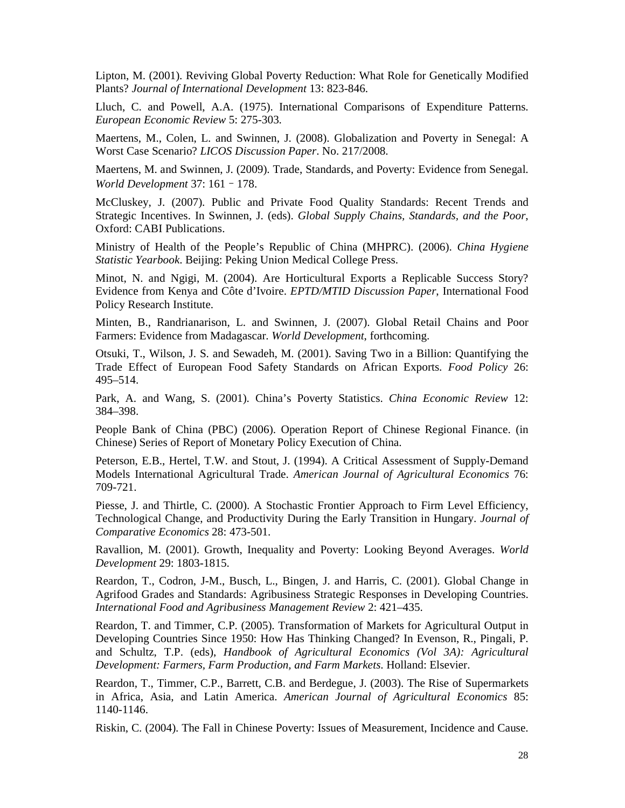Lipton, M. (2001). Reviving Global Poverty Reduction: What Role for Genetically Modified Plants? *Journal of International Development* 13: 823-846.

Lluch, C. and Powell, A.A. (1975). International Comparisons of Expenditure Patterns. *European Economic Review* 5: 275-303.

Maertens, M., Colen, L. and Swinnen, J. (2008). Globalization and Poverty in Senegal: A Worst Case Scenario? *LICOS Discussion Paper*. No. 217/2008.

Maertens, M. and Swinnen, J. (2009). Trade, Standards, and Poverty: Evidence from Senegal. *World Development* 37: 161–178.

McCluskey, J. (2007). Public and Private Food Quality Standards: Recent Trends and Strategic Incentives. In Swinnen, J. (eds). *Global Supply Chains, Standards, and the Poor*, Oxford: CABI Publications.

Ministry of Health of the People's Republic of China (MHPRC). (2006). *China Hygiene Statistic Yearbook*. Beijing: Peking Union Medical College Press.

Minot, N. and Ngigi, M. (2004). Are Horticultural Exports a Replicable Success Story? Evidence from Kenya and Côte d'Ivoire. *EPTD/MTID Discussion Paper*, International Food Policy Research Institute.

Minten, B., Randrianarison, L. and Swinnen, J. (2007). Global Retail Chains and Poor Farmers: Evidence from Madagascar. *World Development*, forthcoming.

Otsuki, T., Wilson, J. S. and Sewadeh, M. (2001). Saving Two in a Billion: Quantifying the Trade Effect of European Food Safety Standards on African Exports. *Food Policy* 26: 495–514.

Park, A. and Wang, S. (2001). China's Poverty Statistics. *China Economic Review* 12: 384–398.

People Bank of China (PBC) (2006). Operation Report of Chinese Regional Finance. (in Chinese) Series of Report of Monetary Policy Execution of China.

Peterson, E.B., Hertel, T.W. and Stout, J. (1994). A Critical Assessment of Supply-Demand Models International Agricultural Trade. *American Journal of Agricultural Economics* 76: 709-721.

Piesse, J. and Thirtle, C. (2000). A Stochastic Frontier Approach to Firm Level Efficiency, Technological Change, and Productivity During the Early Transition in Hungary. *Journal of Comparative Economics* 28: 473-501.

Ravallion, M. (2001). Growth, Inequality and Poverty: Looking Beyond Averages. *World Development* 29: 1803-1815.

Reardon, T., Codron, J-M., Busch, L., Bingen, J. and Harris, C. (2001). Global Change in Agrifood Grades and Standards: Agribusiness Strategic Responses in Developing Countries. *International Food and Agribusiness Management Review* 2: 421–435.

Reardon, T. and Timmer, C.P. (2005). Transformation of Markets for Agricultural Output in Developing Countries Since 1950: How Has Thinking Changed? In Evenson, R., Pingali, P. and Schultz, T.P. (eds), *Handbook of Agricultural Economics (Vol 3A): Agricultural Development: Farmers, Farm Production, and Farm Markets*. Holland: Elsevier.

Reardon, T., Timmer, C.P., Barrett, C.B. and Berdegue, J. (2003). The Rise of Supermarkets in Africa, Asia, and Latin America. *American Journal of Agricultural Economics* 85: 1140-1146.

Riskin, C. (2004). The Fall in Chinese Poverty: Issues of Measurement, Incidence and Cause.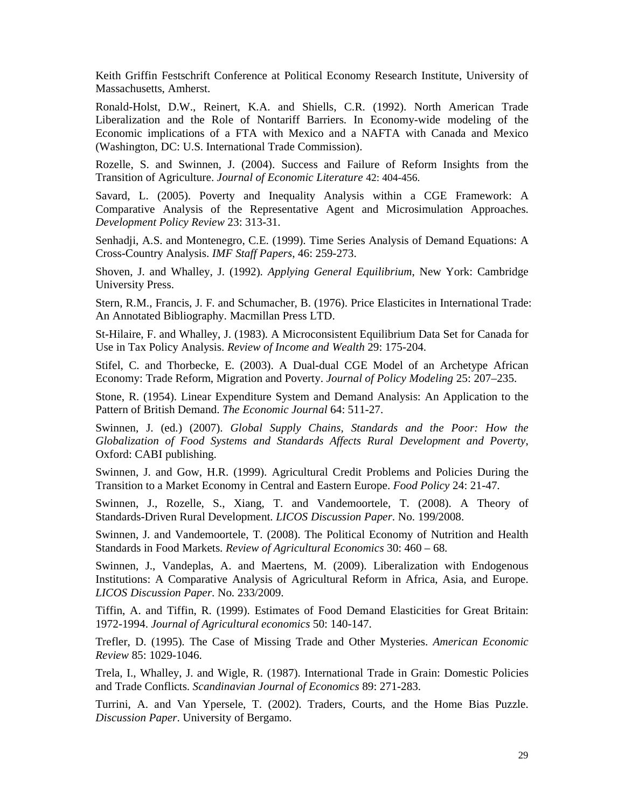Keith Griffin Festschrift Conference at Political Economy Research Institute, University of Massachusetts, Amherst.

Ronald-Holst, D.W., Reinert, K.A. and Shiells, C.R. (1992). North American Trade Liberalization and the Role of Nontariff Barriers. In Economy-wide modeling of the Economic implications of a FTA with Mexico and a NAFTA with Canada and Mexico (Washington, DC: U.S. International Trade Commission).

Rozelle, S. and Swinnen, J. (2004). Success and Failure of Reform Insights from the Transition of Agriculture. *Journal of Economic Literature* 42: 404-456.

Savard, L. (2005). Poverty and Inequality Analysis within a CGE Framework: A Comparative Analysis of the Representative Agent and Microsimulation Approaches. *Development Policy Review* 23: 313-31.

Senhadji, A.S. and Montenegro, C.E. (1999). Time Series Analysis of Demand Equations: A Cross-Country Analysis. *IMF Staff Papers*, 46: 259-273.

Shoven, J. and Whalley, J. (1992). *Applying General Equilibrium*, New York: Cambridge University Press.

Stern, R.M., Francis, J. F. and Schumacher, B. (1976). Price Elasticites in International Trade: An Annotated Bibliography. Macmillan Press LTD.

St-Hilaire, F. and Whalley, J. (1983). A Microconsistent Equilibrium Data Set for Canada for Use in Tax Policy Analysis. *Review of Income and Wealth* 29: 175-204.

Stifel, C. and Thorbecke, E. (2003). A Dual-dual CGE Model of an Archetype African Economy: Trade Reform, Migration and Poverty. *Journal of Policy Modeling* 25: 207–235.

Stone, R. (1954). Linear Expenditure System and Demand Analysis: An Application to the Pattern of British Demand. *The Economic Journal* 64: 511-27.

Swinnen, J. (ed.) (2007). *Global Supply Chains, Standards and the Poor: How the Globalization of Food Systems and Standards Affects Rural Development and Poverty*, Oxford: CABI publishing.

Swinnen, J. and Gow, H.R. (1999). Agricultural Credit Problems and Policies During the Transition to a Market Economy in Central and Eastern Europe. *Food Policy* 24: 21-47.

Swinnen, J., Rozelle, S., Xiang, T. and Vandemoortele, T. (2008). A Theory of Standards-Driven Rural Development. *LICOS Discussion Paper*. No. 199/2008.

Swinnen, J. and Vandemoortele, T. (2008). The Political Economy of Nutrition and Health Standards in Food Markets. *Review of Agricultural Economics* 30: 460 – 68.

Swinnen, J., Vandeplas, A. and Maertens, M. (2009). Liberalization with Endogenous Institutions: A Comparative Analysis of Agricultural Reform in Africa, Asia, and Europe. *LICOS Discussion Paper*. No. 233/2009.

Tiffin, A. and Tiffin, R. (1999). Estimates of Food Demand Elasticities for Great Britain: 1972-1994. *Journal of Agricultural economics* 50: 140-147.

Trefler, D. (1995). The Case of Missing Trade and Other Mysteries. *American Economic Review* 85: 1029-1046.

Trela, I., Whalley, J. and Wigle, R. (1987). International Trade in Grain: Domestic Policies and Trade Conflicts. *Scandinavian Journal of Economics* 89: 271-283.

Turrini, A. and Van Ypersele, T. (2002). Traders, Courts, and the Home Bias Puzzle. *Discussion Paper*. University of Bergamo.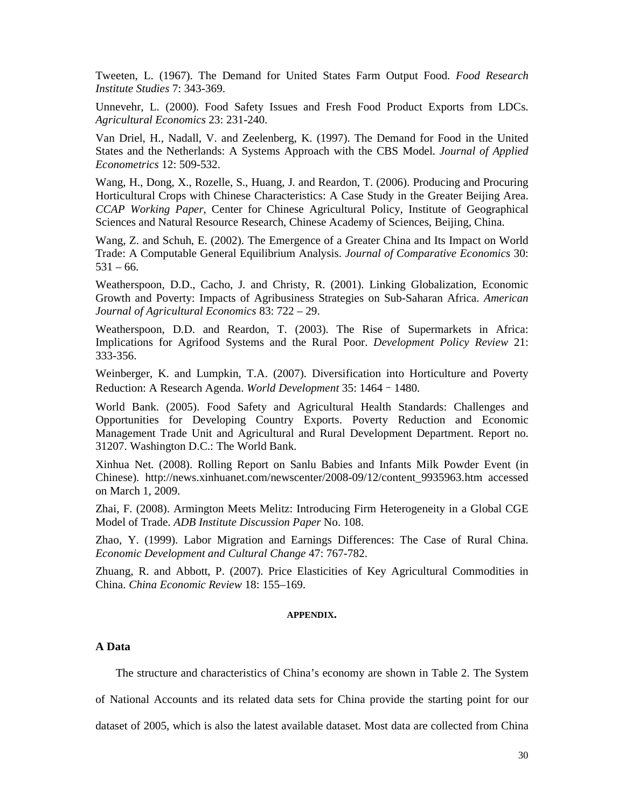Tweeten, L. (1967). The Demand for United States Farm Output Food. *Food Research Institute Studies* 7: 343-369.

Unnevehr, L. (2000). Food Safety Issues and Fresh Food Product Exports from LDCs. *Agricultural Economics* 23: 231-240.

Van Driel, H., Nadall, V. and Zeelenberg, K. (1997). The Demand for Food in the United States and the Netherlands: A Systems Approach with the CBS Model. *Journal of Applied Econometrics* 12: 509-532.

Wang, H., Dong, X., Rozelle, S., Huang, J. and Reardon, T. (2006). Producing and Procuring Horticultural Crops with Chinese Characteristics: A Case Study in the Greater Beijing Area. *CCAP Working Paper*, Center for Chinese Agricultural Policy, Institute of Geographical Sciences and Natural Resource Research, Chinese Academy of Sciences, Beijing, China.

Wang, Z. and Schuh, E. (2002). The Emergence of a Greater China and Its Impact on World Trade: A Computable General Equilibrium Analysis. *Journal of Comparative Economics* 30:  $531 - 66.$ 

Weatherspoon, D.D., Cacho, J. and Christy, R. (2001). Linking Globalization, Economic Growth and Poverty: Impacts of Agribusiness Strategies on Sub-Saharan Africa. *American Journal of Agricultural Economics* 83: 722 – 29.

Weatherspoon, D.D. and Reardon, T. (2003). The Rise of Supermarkets in Africa: Implications for Agrifood Systems and the Rural Poor. *Development Policy Review* 21: 333-356.

Weinberger, K. and Lumpkin, T.A. (2007). Diversification into Horticulture and Poverty Reduction: A Research Agenda. *World Development* 35: 1464–1480.

World Bank. (2005). Food Safety and Agricultural Health Standards: Challenges and Opportunities for Developing Country Exports. Poverty Reduction and Economic Management Trade Unit and Agricultural and Rural Development Department. Report no. 31207. Washington D.C.: The World Bank.

Xinhua Net. (2008). Rolling Report on Sanlu Babies and Infants Milk Powder Event (in Chinese). http://news.xinhuanet.com/newscenter/2008-09/12/content\_9935963.htm accessed on March 1, 2009.

Zhai, F. (2008). Armington Meets Melitz: Introducing Firm Heterogeneity in a Global CGE Model of Trade. *ADB Institute Discussion Paper* No. 108.

Zhao, Y. (1999). Labor Migration and Earnings Differences: The Case of Rural China. *Economic Development and Cultural Change* 47: 767-782.

Zhuang, R. and Abbott, P. (2007). Price Elasticities of Key Agricultural Commodities in China. *China Economic Review* 18: 155–169.

#### **APPENDIX.**

### **A Data**

The structure and characteristics of China's economy are shown in Table 2. The System

of National Accounts and its related data sets for China provide the starting point for our

dataset of 2005, which is also the latest available dataset. Most data are collected from China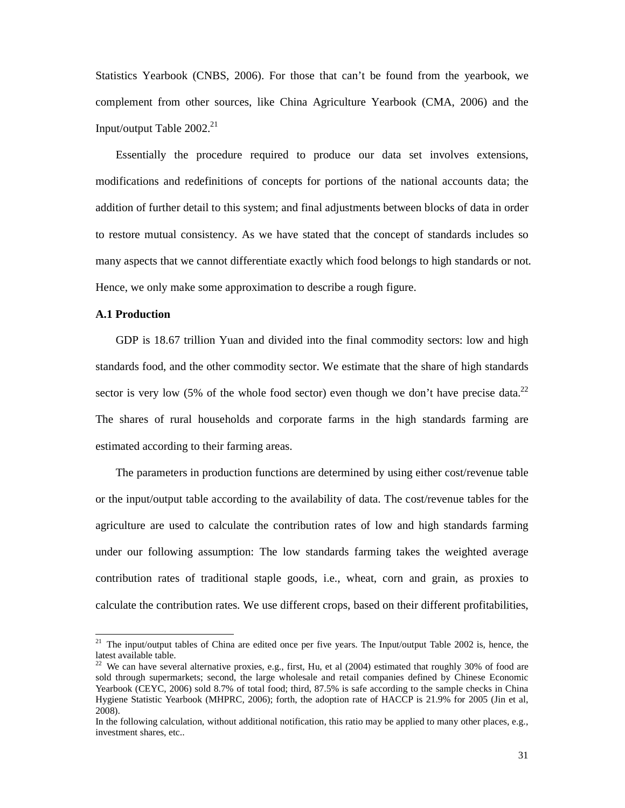Statistics Yearbook (CNBS, 2006). For those that can't be found from the yearbook, we complement from other sources, like China Agriculture Yearbook (CMA, 2006) and the Input/output Table  $2002.<sup>21</sup>$ 

Essentially the procedure required to produce our data set involves extensions, modifications and redefinitions of concepts for portions of the national accounts data; the addition of further detail to this system; and final adjustments between blocks of data in order to restore mutual consistency. As we have stated that the concept of standards includes so many aspects that we cannot differentiate exactly which food belongs to high standards or not. Hence, we only make some approximation to describe a rough figure.

## **A.1 Production**

1

GDP is 18.67 trillion Yuan and divided into the final commodity sectors: low and high standards food, and the other commodity sector. We estimate that the share of high standards sector is very low (5% of the whole food sector) even though we don't have precise data.<sup>22</sup> The shares of rural households and corporate farms in the high standards farming are estimated according to their farming areas.

The parameters in production functions are determined by using either cost/revenue table or the input/output table according to the availability of data. The cost/revenue tables for the agriculture are used to calculate the contribution rates of low and high standards farming under our following assumption: The low standards farming takes the weighted average contribution rates of traditional staple goods, i.e., wheat, corn and grain, as proxies to calculate the contribution rates. We use different crops, based on their different profitabilities,

<sup>&</sup>lt;sup>21</sup> The input/output tables of China are edited once per five years. The Input/output Table 2002 is, hence, the  $\frac{1}{22}$  available table.

We can have several alternative proxies, e.g., first, Hu, et al (2004) estimated that roughly 30% of food are sold through supermarkets; second, the large wholesale and retail companies defined by Chinese Economic Yearbook (CEYC, 2006) sold 8.7% of total food; third, 87.5% is safe according to the sample checks in China Hygiene Statistic Yearbook (MHPRC, 2006); forth, the adoption rate of HACCP is 21.9% for 2005 (Jin et al, 2008).

In the following calculation, without additional notification, this ratio may be applied to many other places, e.g., investment shares, etc..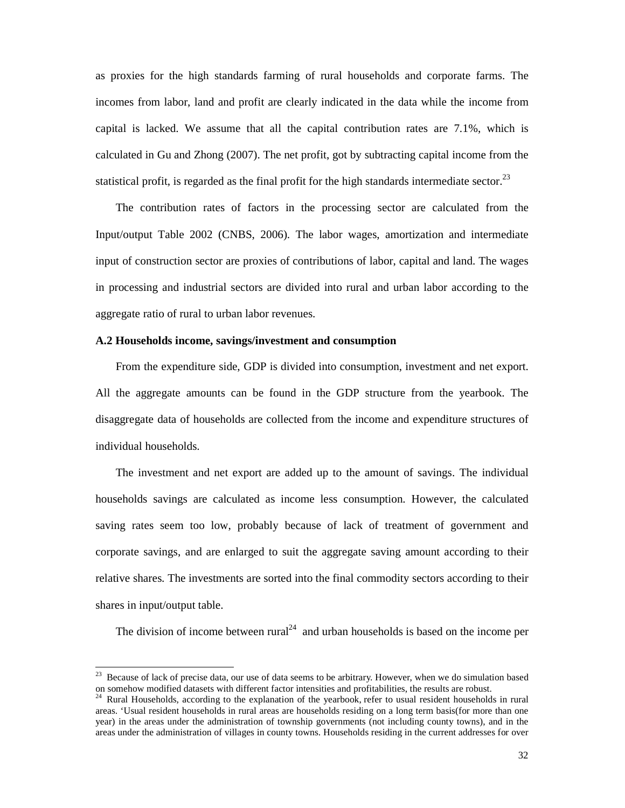as proxies for the high standards farming of rural households and corporate farms. The incomes from labor, land and profit are clearly indicated in the data while the income from capital is lacked. We assume that all the capital contribution rates are 7.1%, which is calculated in Gu and Zhong (2007). The net profit, got by subtracting capital income from the statistical profit, is regarded as the final profit for the high standards intermediate sector.<sup>23</sup>

The contribution rates of factors in the processing sector are calculated from the Input/output Table 2002 (CNBS, 2006). The labor wages, amortization and intermediate input of construction sector are proxies of contributions of labor, capital and land. The wages in processing and industrial sectors are divided into rural and urban labor according to the aggregate ratio of rural to urban labor revenues.

#### **A.2 Households income, savings/investment and consumption**

From the expenditure side, GDP is divided into consumption, investment and net export. All the aggregate amounts can be found in the GDP structure from the yearbook. The disaggregate data of households are collected from the income and expenditure structures of individual households.

The investment and net export are added up to the amount of savings. The individual households savings are calculated as income less consumption. However, the calculated saving rates seem too low, probably because of lack of treatment of government and corporate savings, and are enlarged to suit the aggregate saving amount according to their relative shares. The investments are sorted into the final commodity sectors according to their shares in input/output table.

The division of income between rural<sup>24</sup> and urban households is based on the income per

<sup>23</sup> <sup>23</sup> Because of lack of precise data, our use of data seems to be arbitrary. However, when we do simulation based on somehow modified datasets with different factor intensities and profitabilities, the results are robust.

<sup>&</sup>lt;sup>24</sup> Rural Households, according to the explanation of the yearbook, refer to usual resident households in rural areas. 'Usual resident households in rural areas are households residing on a long term basis(for more than one year) in the areas under the administration of township governments (not including county towns), and in the areas under the administration of villages in county towns. Households residing in the current addresses for over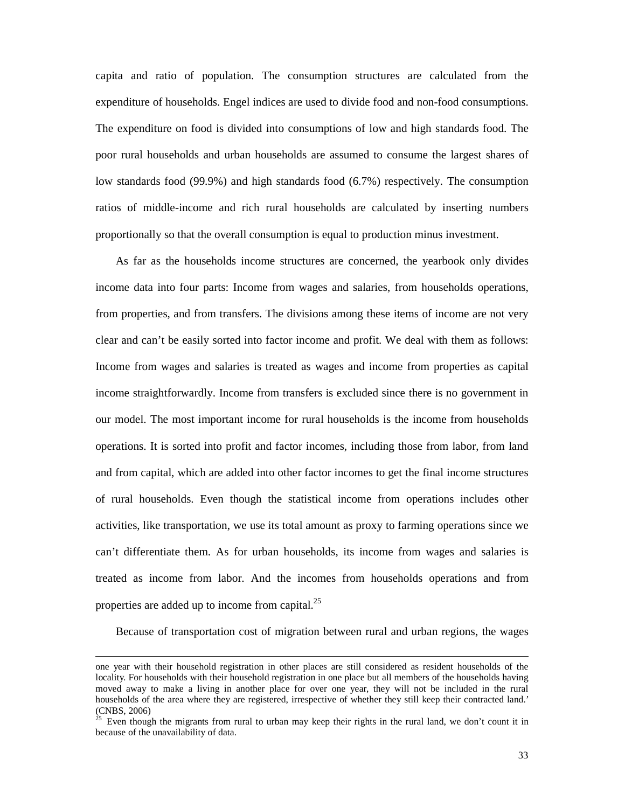capita and ratio of population. The consumption structures are calculated from the expenditure of households. Engel indices are used to divide food and non-food consumptions. The expenditure on food is divided into consumptions of low and high standards food. The poor rural households and urban households are assumed to consume the largest shares of low standards food (99.9%) and high standards food (6.7%) respectively. The consumption ratios of middle-income and rich rural households are calculated by inserting numbers proportionally so that the overall consumption is equal to production minus investment.

As far as the households income structures are concerned, the yearbook only divides income data into four parts: Income from wages and salaries, from households operations, from properties, and from transfers. The divisions among these items of income are not very clear and can't be easily sorted into factor income and profit. We deal with them as follows: Income from wages and salaries is treated as wages and income from properties as capital income straightforwardly. Income from transfers is excluded since there is no government in our model. The most important income for rural households is the income from households operations. It is sorted into profit and factor incomes, including those from labor, from land and from capital, which are added into other factor incomes to get the final income structures of rural households. Even though the statistical income from operations includes other activities, like transportation, we use its total amount as proxy to farming operations since we can't differentiate them. As for urban households, its income from wages and salaries is treated as income from labor. And the incomes from households operations and from properties are added up to income from capital. $^{25}$ 

Because of transportation cost of migration between rural and urban regions, the wages

l

one year with their household registration in other places are still considered as resident households of the locality. For households with their household registration in one place but all members of the households having moved away to make a living in another place for over one year, they will not be included in the rural households of the area where they are registered, irrespective of whether they still keep their contracted land.' (CNBS, 2006)

 $25$  Even though the migrants from rural to urban may keep their rights in the rural land, we don't count it in because of the unavailability of data.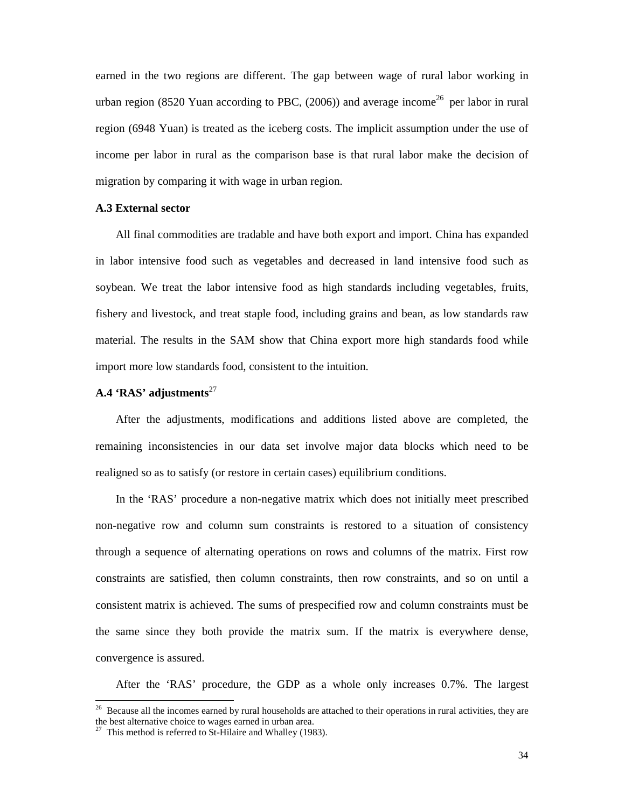earned in the two regions are different. The gap between wage of rural labor working in urban region (8520 Yuan according to PBC,  $(2006)$ ) and average income<sup>26</sup> per labor in rural region (6948 Yuan) is treated as the iceberg costs. The implicit assumption under the use of income per labor in rural as the comparison base is that rural labor make the decision of migration by comparing it with wage in urban region.

## **A.3 External sector**

All final commodities are tradable and have both export and import. China has expanded in labor intensive food such as vegetables and decreased in land intensive food such as soybean. We treat the labor intensive food as high standards including vegetables, fruits, fishery and livestock, and treat staple food, including grains and bean, as low standards raw material. The results in the SAM show that China export more high standards food while import more low standards food, consistent to the intuition.

## A.4 'RAS' adjustments<sup>27</sup>

1

After the adjustments, modifications and additions listed above are completed, the remaining inconsistencies in our data set involve major data blocks which need to be realigned so as to satisfy (or restore in certain cases) equilibrium conditions.

In the 'RAS' procedure a non-negative matrix which does not initially meet prescribed non-negative row and column sum constraints is restored to a situation of consistency through a sequence of alternating operations on rows and columns of the matrix. First row constraints are satisfied, then column constraints, then row constraints, and so on until a consistent matrix is achieved. The sums of prespecified row and column constraints must be the same since they both provide the matrix sum. If the matrix is everywhere dense, convergence is assured.

After the 'RAS' procedure, the GDP as a whole only increases 0.7%. The largest

<sup>&</sup>lt;sup>26</sup> Because all the incomes earned by rural households are attached to their operations in rural activities, they are the best alternative choice to wages earned in urban area.

<sup>&</sup>lt;sup>27</sup> This method is referred to St-Hilaire and Whalley (1983).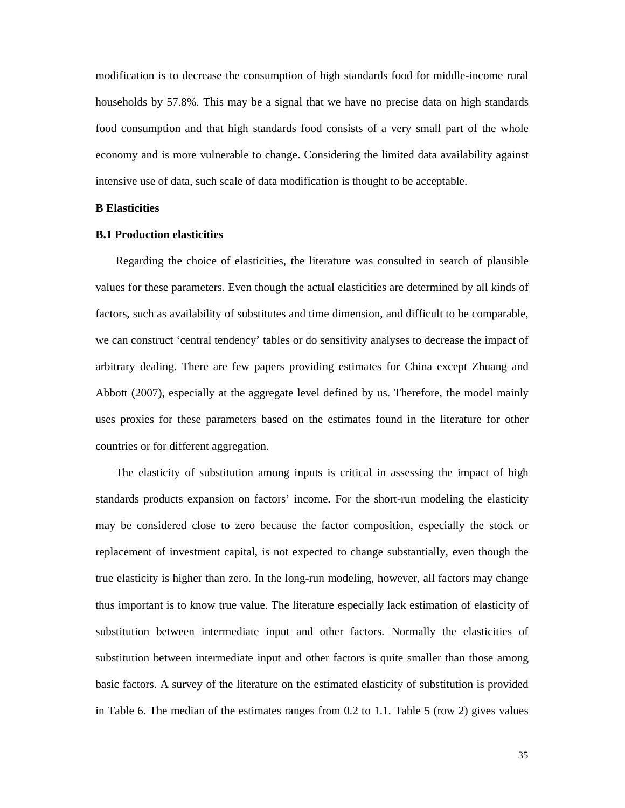modification is to decrease the consumption of high standards food for middle-income rural households by 57.8%. This may be a signal that we have no precise data on high standards food consumption and that high standards food consists of a very small part of the whole economy and is more vulnerable to change. Considering the limited data availability against intensive use of data, such scale of data modification is thought to be acceptable.

## **B Elasticities**

## **B.1 Production elasticities**

Regarding the choice of elasticities, the literature was consulted in search of plausible values for these parameters. Even though the actual elasticities are determined by all kinds of factors, such as availability of substitutes and time dimension, and difficult to be comparable, we can construct 'central tendency' tables or do sensitivity analyses to decrease the impact of arbitrary dealing. There are few papers providing estimates for China except Zhuang and Abbott (2007), especially at the aggregate level defined by us. Therefore, the model mainly uses proxies for these parameters based on the estimates found in the literature for other countries or for different aggregation.

The elasticity of substitution among inputs is critical in assessing the impact of high standards products expansion on factors' income. For the short-run modeling the elasticity may be considered close to zero because the factor composition, especially the stock or replacement of investment capital, is not expected to change substantially, even though the true elasticity is higher than zero. In the long-run modeling, however, all factors may change thus important is to know true value. The literature especially lack estimation of elasticity of substitution between intermediate input and other factors. Normally the elasticities of substitution between intermediate input and other factors is quite smaller than those among basic factors. A survey of the literature on the estimated elasticity of substitution is provided in Table 6. The median of the estimates ranges from 0.2 to 1.1. Table 5 (row 2) gives values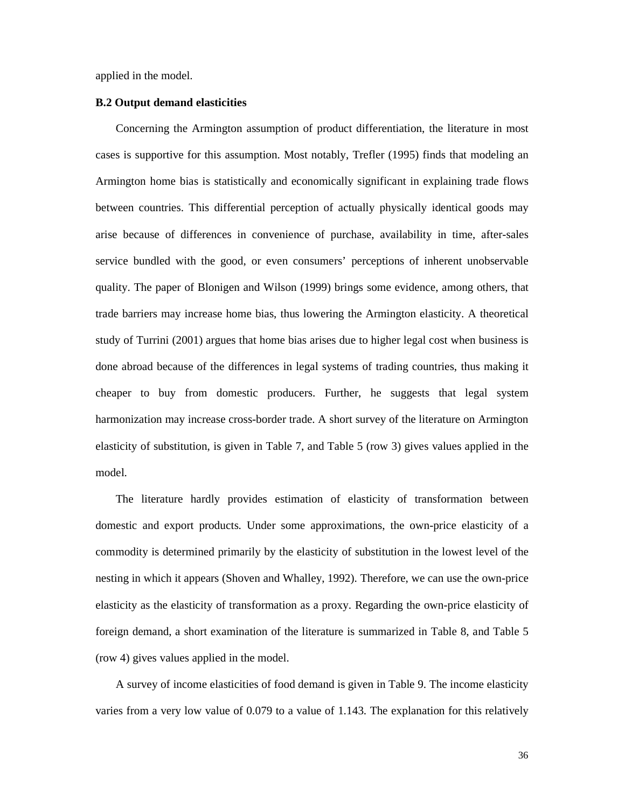applied in the model.

#### **B.2 Output demand elasticities**

Concerning the Armington assumption of product differentiation, the literature in most cases is supportive for this assumption. Most notably, Trefler (1995) finds that modeling an Armington home bias is statistically and economically significant in explaining trade flows between countries. This differential perception of actually physically identical goods may arise because of differences in convenience of purchase, availability in time, after-sales service bundled with the good, or even consumers' perceptions of inherent unobservable quality. The paper of Blonigen and Wilson (1999) brings some evidence, among others, that trade barriers may increase home bias, thus lowering the Armington elasticity. A theoretical study of Turrini (2001) argues that home bias arises due to higher legal cost when business is done abroad because of the differences in legal systems of trading countries, thus making it cheaper to buy from domestic producers. Further, he suggests that legal system harmonization may increase cross-border trade. A short survey of the literature on Armington elasticity of substitution, is given in Table 7, and Table 5 (row 3) gives values applied in the model.

The literature hardly provides estimation of elasticity of transformation between domestic and export products. Under some approximations, the own-price elasticity of a commodity is determined primarily by the elasticity of substitution in the lowest level of the nesting in which it appears (Shoven and Whalley, 1992). Therefore, we can use the own-price elasticity as the elasticity of transformation as a proxy. Regarding the own-price elasticity of foreign demand, a short examination of the literature is summarized in Table 8, and Table 5 (row 4) gives values applied in the model.

A survey of income elasticities of food demand is given in Table 9. The income elasticity varies from a very low value of 0.079 to a value of 1.143. The explanation for this relatively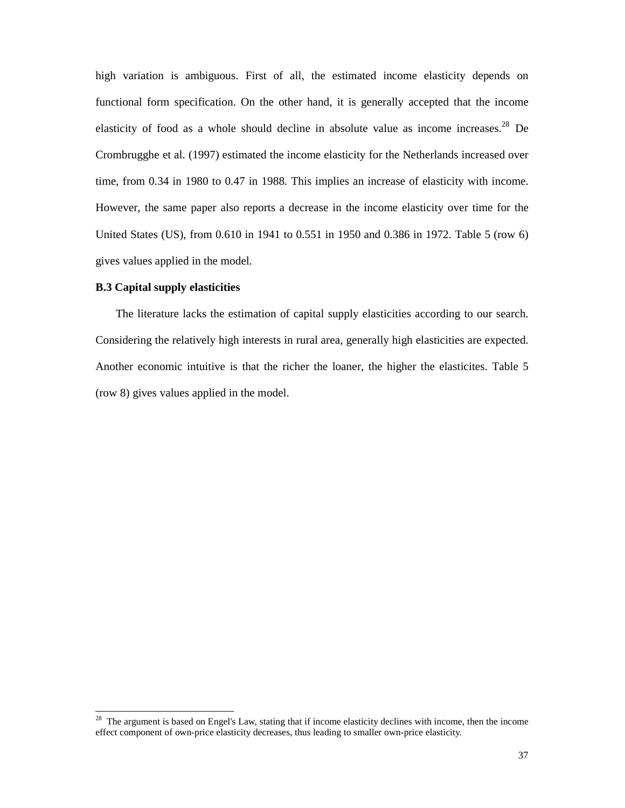high variation is ambiguous. First of all, the estimated income elasticity depends on functional form specification. On the other hand, it is generally accepted that the income elasticity of food as a whole should decline in absolute value as income increases.<sup>28</sup> De Crombrugghe et al. (1997) estimated the income elasticity for the Netherlands increased over time, from 0.34 in 1980 to 0.47 in 1988. This implies an increase of elasticity with income. However, the same paper also reports a decrease in the income elasticity over time for the United States (US), from 0.610 in 1941 to 0.551 in 1950 and 0.386 in 1972. Table 5 (row 6) gives values applied in the model.

## **B.3 Capital supply elasticities**

1

The literature lacks the estimation of capital supply elasticities according to our search. Considering the relatively high interests in rural area, generally high elasticities are expected. Another economic intuitive is that the richer the loaner, the higher the elasticites. Table 5 (row 8) gives values applied in the model.

 $2<sup>28</sup>$  The argument is based on Engel's Law, stating that if income elasticity declines with income, then the income effect component of own-price elasticity decreases, thus leading to smaller own-price elasticity.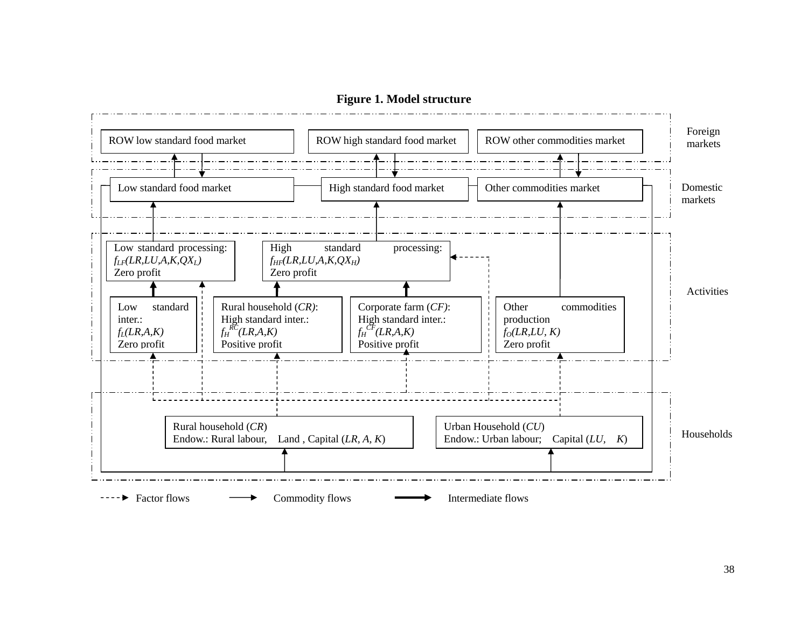**Figure 1. Model structure** 

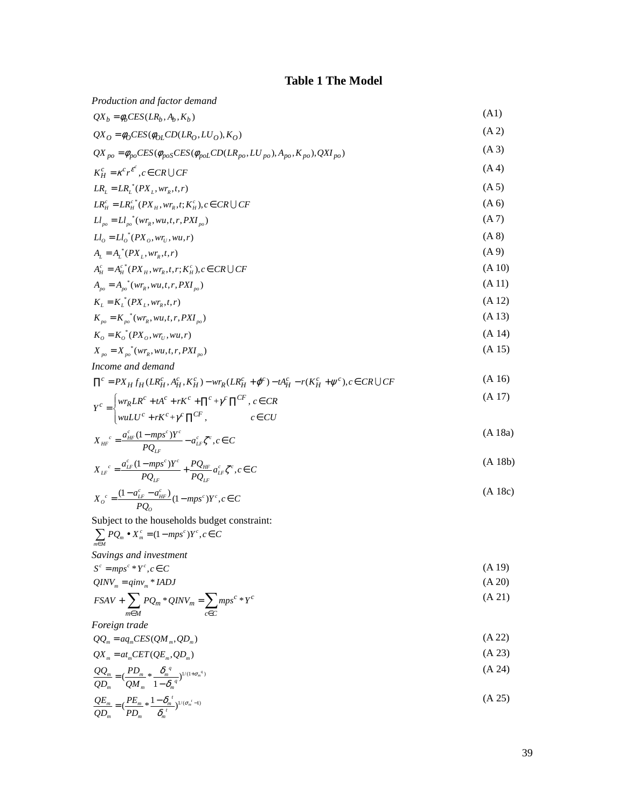# **Table 1 The Model**

| Production and factor demand                                                                                                                                                 |         |
|------------------------------------------------------------------------------------------------------------------------------------------------------------------------------|---------|
| $QX_h = \phi_hCES(LR_h, A_h, K_h)$                                                                                                                                           | (A1)    |
| $QX_O = \phi_OCES(\phi_{OL}CD(LR_O, LU_O), K_O)$                                                                                                                             | (A 2)   |
| $QX_{po} = \phi_{po} CES(\phi_{poS} CES(\phi_{pol} C D(LR_{po}, LU_{po}), A_{po}, K_{po}), QXI_{po})$                                                                        | (A3)    |
| $K_H^c = \kappa^c r^{\varepsilon^c}$ , $c \in CR \cup CF$                                                                                                                    | (A4)    |
| $LR_{i} = LR_{i}^{*}(PX_{i}, wr_{i}, t, r)$                                                                                                                                  | (A 5)   |
| $LR_{\scriptscriptstyle H}^c = LR_{\scriptscriptstyle H}^{c^*} (PX_{\scriptscriptstyle H}, wr_{\scriptscriptstyle R}, t; K_{\scriptscriptstyle H}^c), c \in CR \cup CF$      | (A 6)   |
| $LI_{no} = LI_{no}^*(wr_R, wu, t, r, PXI_{no})$                                                                                                                              | (A7)    |
| $LI_{0} = LI_{0}^{*}(PX_{0}, wr_{U}, wu, r)$                                                                                                                                 | (A 8)   |
| $A_t = A_t^*(PX_t, wr_t, t, r)$                                                                                                                                              | (A9)    |
| $A_{\mu}^{c} = A_{\mu}^{c} (PX_{\mu}, wr_{\nu}, t, r; K_{\mu}^{c}), c \in CR \cup CF$                                                                                        | (A 10)  |
| $A_{no} = A_{no}^*(wr_R, wu, t, r, PXI_{no})$                                                                                                                                | (A 11)  |
| $K_{t} = K_{t}^{*}(PX_{t}, wr_{p}, t, r)$                                                                                                                                    | (A 12)  |
| $K_{no} = K_{no}^{*}(wr_{R}, wu, t, r, PXI_{no})$                                                                                                                            | (A 13)  |
| $K_{\alpha} = K_{\alpha}^{*}(PX_{\alpha}, wr_{U}, w_{U}, r)$                                                                                                                 | (A 14)  |
| $X_{no} = X_{no}^{*}(wr_{R}, wu, t, r, PXI_{no})$                                                                                                                            | (A 15)  |
| Income and demand                                                                                                                                                            |         |
| $\prod^{c} = PX_{H}f_{H}(LR_{H}^{c}, A_{H}^{c}, K_{H}^{c}) - wr_{R}(LR_{H}^{c} + \varphi^{c}) - tA_{H}^{c} - r(K_{H}^{c} + \psi^{c}), c \in CR \cup CF$                      | (A 16)  |
| $Y^c = \begin{cases} wr_R L R^c + t A^c + r K^c + \prod^c + \gamma^c \prod^{CF}, \, c \in CR \\ w u L U^c + r K^c + \gamma^c \prod^{CF}, \qquad \qquad c \in CU \end{cases}$ | (A 17)  |
|                                                                                                                                                                              |         |
| $X_{HF}^{c} = \frac{a_{HF}^{c}(1 - mps^{c})Y^{c}}{pQ} - a_{LF}^{c}\zeta^{c}, c \in C$                                                                                        | (A 18a) |
| $X_{LF}^c = \frac{a_{LF}^c (1 - mps^c)Y^c}{PQ_{eq}} + \frac{PQ_{HF}}{PQ_{eq}} a_{LF}^c \zeta^c, c \in C$                                                                     | (A 18b) |
| $X_o^c = \frac{(1 - a_{LF}^c - a_{HF}^c)}{PQ_a} (1 - mps^c) Y_c^c, c \in C$                                                                                                  | (A 18c) |
| Subject to the households budget constraint:                                                                                                                                 |         |
| $\sum_{m} PQ_m \bullet X_m^c = (1 - mps^c)Y^c, c \in C$                                                                                                                      |         |
| Savings and investment                                                                                                                                                       |         |
| $S^c = mps^c * Y^c, c \in C$                                                                                                                                                 | (A 19)  |
| $QINV_{m} = qinv_{m} * IADJ$                                                                                                                                                 | (A 20)  |
| $FSAV + \sum PQ_m * QINV_m = \sum mps^c * Y^c$                                                                                                                               | (A 21)  |
| Foreign trade                                                                                                                                                                |         |
| $QQ_m = aq_mCES(QM_m, QD_m)$                                                                                                                                                 | (A 22)  |
| $QX_m = at_m CET(QE_m, QD_m)$                                                                                                                                                | (A 23)  |
| $\frac{QQ_m}{QD_m} = \left(\frac{PD_m}{QM_m} * \frac{\delta_m^q}{1-\delta_m^q}\right)^{1/(1+\sigma_m^q)}$                                                                    | (A 24)  |
| $\frac{\underline{Q}E_m}{\underline{Q}D_m}=(\frac{PE_m}{PD_m}*\frac{1-\delta_m^{-t}}{\delta_m^{-t}})^{1/(\sigma_m^t-1)}$                                                     | (A 25)  |
|                                                                                                                                                                              |         |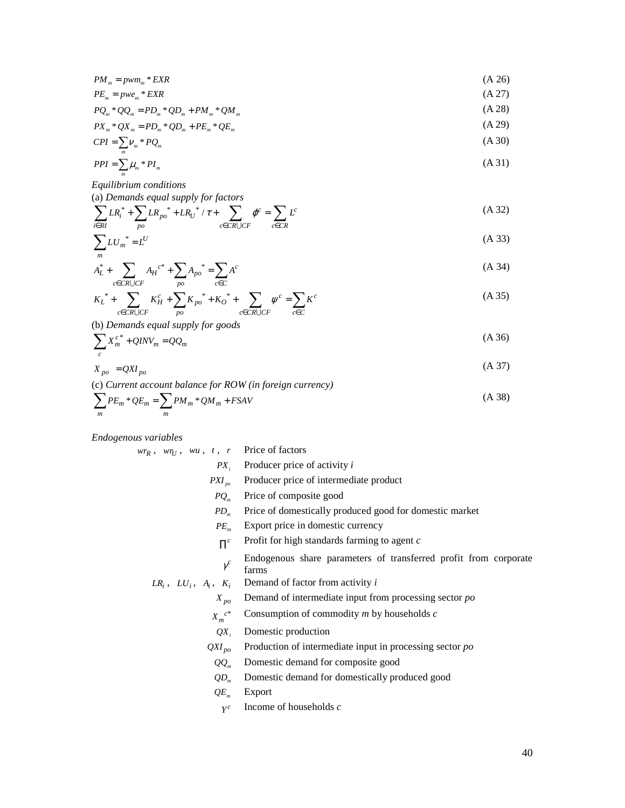$$
PM_m = pwm_m * EXP
$$
\n
$$
PE_m = pwe_m * EXP
$$
\n
$$
(A 26)
$$
\n
$$
PE_m = pwe_m * EXP
$$
\n
$$
(A 27)
$$

$$
PQ_m * QQ_m = PD_m * QD_m + PM_m * QM_m \tag{A.28}
$$

$$
PX_m * QX_m = PD_m * QD_m + PE_m * QE_m
$$
\n(A 29)

$$
CPI = \sum_{m} \nu_m * PQ_m \tag{A.30}
$$

$$
PPI = \sum_{m} \mu_m * PI_m \tag{A 31}
$$

*Equilibrium conditions*  (a) *Demands equal supply for factors*

$$
\sum_{i \in RI} L{R_i}^* + \sum_{po} L{R_{po}}^* + L{R_U}^* / \tau + \sum_{c \in CR \cup CF} \varphi^c = \sum_{c \in CR} L^c
$$
 (A 32)

$$
\sum_{m} LU_m^* = L^U \tag{A.33}
$$

$$
A_L^* + \sum_{c \in CR \cup CF} A_H{}^{c^*} + \sum_{po} A_{po}{}^* = \sum_{c \in C} A^c
$$
 (A 34)

$$
K_L^* + \sum_{c \in CR \cup CF} K_H^c + \sum_{po} K_{po}^* + K_O^* + \sum_{c \in CR \cup CF} \psi^c = \sum_{c \in C} K^c
$$
 (A 35)

(b) *Demands equal supply for goods*

$$
\sum_{c} X_{m}^{c} + QINV_{m} = QQ_{m}
$$
\n(A 36)

$$
X_{po} = QX I_{po} \tag{A.37}
$$

(c) *Current account balance for ROW (in foreign currency)*   $\sum P E_m * Q E_m = \sum P M_m * Q M_m + F S A V$  (A 38)

$$
\sum_{m} P E_m * Q E_m = \sum_{m} P M_m * Q M_m + F S A V
$$
\n(120)

*Endogenous variables* 

 $wr_R$ ,  $wr_U$ ,  $wu$ ,  $t$ ,  $r$  Price of factors

*PX<sup>i</sup>* Producer price of activity *i*

*PXI*<sub>po</sub> Producer price of intermediate product

- $PQ_m$ Price of composite good
- *PD<sup>m</sup>* Price of domestically produced good for domestic market
- $PE<sub>m</sub>$ Export price in domestic currency
- *∏<sup><i>c***</sup>** Profit for high standards farming to agent *c*
- *c* γ Endogenous share parameters of transferred profit from corporate farms

 $LR_i$ ,  $LU_i$ ,  $A_i$ Demand of factor from activity *i* 

- *X po* Demand of intermediate input from processing sector *po*
- $X_m^c{}^c$ Consumption of commodity *m* by households *c*
- *QX<sup>i</sup>* Domestic production

$$
QXI_{po}
$$
 Production of intermediate input in processing sector *po*

- *QQ<sup>m</sup>* Domestic demand for composite good
- *QD<sup>m</sup>* Domestic demand for domestically produced good
- *QE<sup>m</sup>* Export
	- *c Y* Income of households *c*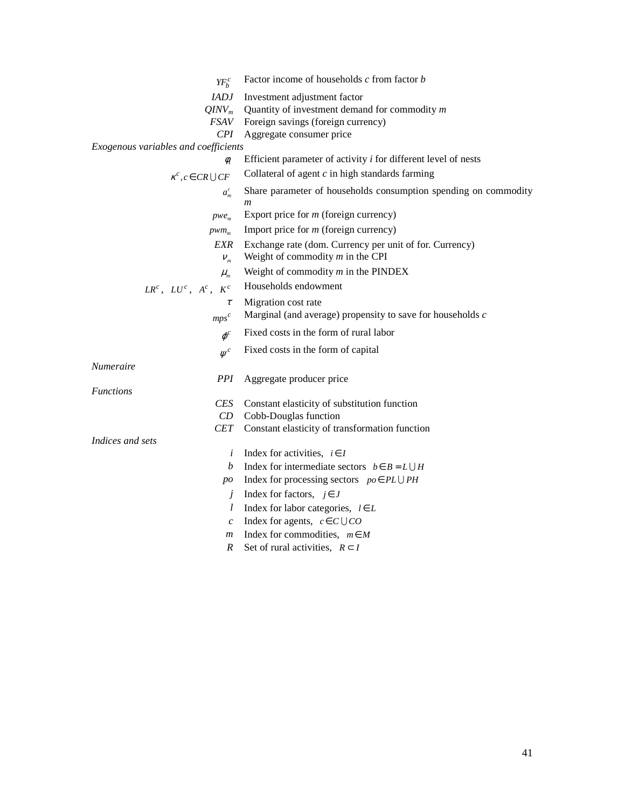| $YF_b^c$                             | Factor income of households $c$ from factor $b$                                        |
|--------------------------------------|----------------------------------------------------------------------------------------|
| IADJ                                 | Investment adjustment factor                                                           |
| $QINV_{m}$                           | Quantity of investment demand for commodity $m$                                        |
| <b>FSAV</b>                          | Foreign savings (foreign currency)                                                     |
| CPI                                  | Aggregate consumer price                                                               |
| Exogenous variables and coefficients |                                                                                        |
| $\phi_i$                             | Efficient parameter of activity <i>i</i> for different level of nests                  |
| $\kappa^c, c \in CR \cup CF$         | Collateral of agent $c$ in high standards farming                                      |
| $a_m^c$                              | Share parameter of households consumption spending on commodity                        |
|                                      | $\boldsymbol{m}$                                                                       |
| $pwe_m$                              | Export price for $m$ (foreign currency)                                                |
| $pwm_m$                              | Import price for $m$ (foreign currency)                                                |
| EXR                                  | Exchange rate (dom. Currency per unit of for. Currency)                                |
| $\boldsymbol{V}_m$                   | Weight of commodity $m$ in the CPI                                                     |
| $\mu_{\rm m}$                        | Weight of commodity $m$ in the PINDEX                                                  |
| $K^c$<br>$LR^c$ , $LU^c$ , $A^c$ ,   | Households endowment                                                                   |
| $\tau$                               | Migration cost rate                                                                    |
| $mps^c$                              | Marginal (and average) propensity to save for households $c$                           |
| $\varphi^c$                          | Fixed costs in the form of rural labor                                                 |
| $\psi^c$                             | Fixed costs in the form of capital                                                     |
| <i>Numeraire</i>                     |                                                                                        |
| PPI                                  | Aggregate producer price                                                               |
| <b>Functions</b>                     |                                                                                        |
| CES <sup>.</sup>                     | Constant elasticity of substitution function                                           |
| CD                                   | Cobb-Douglas function                                                                  |
| CET -                                | Constant elasticity of transformation function                                         |
| Indices and sets                     |                                                                                        |
| i<br>b                               | Index for activities, $i \in I$<br>Index for intermediate sectors $b \in B = L \cup H$ |
|                                      | Index for processing sectors $po \in PL \cup PH$                                       |
| po                                   |                                                                                        |
| Ĵ                                    | Index for factors, $j \in J$                                                           |
| $l_{\parallel}$                      | Index for labor categories, $l \in L$                                                  |
| $\mathcal{C}_{\mathcal{C}}$          | Index for agents, $c \in C \cup CO$                                                    |
| $\boldsymbol{m}$                     | Index for commodities, $m \in M$                                                       |
| $\boldsymbol{R}$                     | Set of rural activities, $R \subset I$                                                 |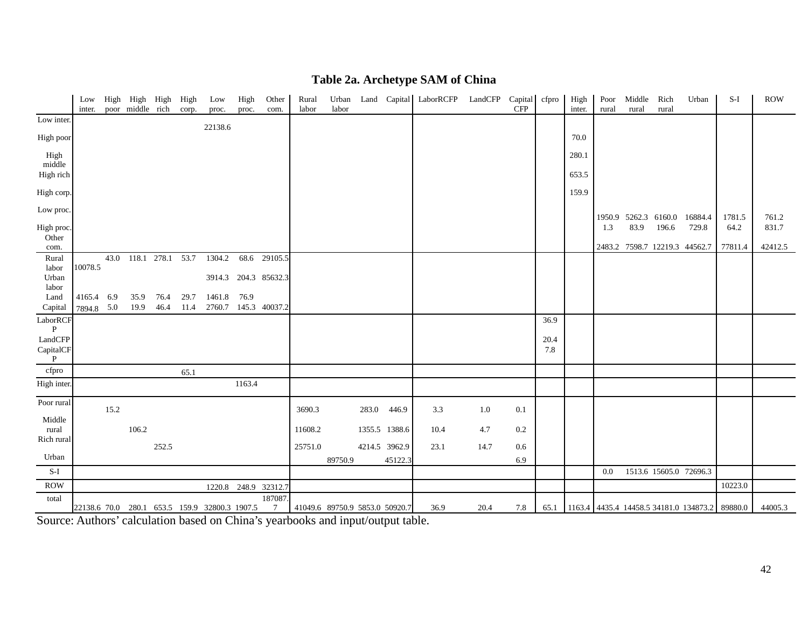# **Table 2a. Archetype SAM of China**

|                           | Low<br>inter. |      | High High High High<br>poor middle rich |       | corp. | Low<br>proc.                                  | High<br>proc. | Other<br>com.        | Rural<br>labor                 | labor   |               |         | Urban Land Capital LaborRCFP LandCFP Capital cfpro |         | <b>CFP</b> |      | High<br>inter. | Poor<br>rural | Middle Rich<br>rural | rural | Urban                                          | $S-I$   | <b>ROW</b> |
|---------------------------|---------------|------|-----------------------------------------|-------|-------|-----------------------------------------------|---------------|----------------------|--------------------------------|---------|---------------|---------|----------------------------------------------------|---------|------------|------|----------------|---------------|----------------------|-------|------------------------------------------------|---------|------------|
| Low inter.                |               |      |                                         |       |       |                                               |               |                      |                                |         |               |         |                                                    |         |            |      |                |               |                      |       |                                                |         |            |
| High poor                 |               |      |                                         |       |       | 22138.6                                       |               |                      |                                |         |               |         |                                                    |         |            |      | 70.0           |               |                      |       |                                                |         |            |
| High<br>middle            |               |      |                                         |       |       |                                               |               |                      |                                |         |               |         |                                                    |         |            |      | 280.1          |               |                      |       |                                                |         |            |
| High rich                 |               |      |                                         |       |       |                                               |               |                      |                                |         |               |         |                                                    |         |            |      | 653.5          |               |                      |       |                                                |         |            |
| High corp.                |               |      |                                         |       |       |                                               |               |                      |                                |         |               |         |                                                    |         |            |      | 159.9          |               |                      |       |                                                |         |            |
| Low proc.                 |               |      |                                         |       |       |                                               |               |                      |                                |         |               |         |                                                    |         |            |      |                |               | 1950.9 5262.3 6160.0 |       | 16884.4                                        | 1781.5  | 761.2      |
| High proc.                |               |      |                                         |       |       |                                               |               |                      |                                |         |               |         |                                                    |         |            |      |                | 1.3           | 83.9                 | 196.6 | 729.8                                          | 64.2    | 831.7      |
| Other<br>com.             |               |      |                                         |       |       |                                               |               |                      |                                |         |               |         |                                                    |         |            |      |                |               |                      |       | 2483.2 7598.7 12219.3 44562.7                  | 77811.4 | 42412.5    |
| Rural                     |               |      | 43.0 118.1 278.1 53.7                   |       |       | 1304.2                                        |               | 68.6 29105.5         |                                |         |               |         |                                                    |         |            |      |                |               |                      |       |                                                |         |            |
| labor                     | 10078.5       |      |                                         |       |       |                                               |               |                      |                                |         |               |         |                                                    |         |            |      |                |               |                      |       |                                                |         |            |
| Urban<br>labor            |               |      |                                         |       |       |                                               |               | 3914.3 204.3 85632.3 |                                |         |               |         |                                                    |         |            |      |                |               |                      |       |                                                |         |            |
| Land                      | 4165.4 6.9    |      | 35.9                                    | 76.4  | 29.7  | 1461.8 76.9                                   |               |                      |                                |         |               |         |                                                    |         |            |      |                |               |                      |       |                                                |         |            |
| Capital                   | 7894.8 5.0    |      | 19.9                                    | 46.4  | 11.4  |                                               |               | 2760.7 145.3 40037.2 |                                |         |               |         |                                                    |         |            |      |                |               |                      |       |                                                |         |            |
| LaborRCF<br>P             |               |      |                                         |       |       |                                               |               |                      |                                |         |               |         |                                                    |         |            | 36.9 |                |               |                      |       |                                                |         |            |
| LandCFP                   |               |      |                                         |       |       |                                               |               |                      |                                |         |               |         |                                                    |         |            | 20.4 |                |               |                      |       |                                                |         |            |
| CapitalCF<br>$\mathbf{P}$ |               |      |                                         |       |       |                                               |               |                      |                                |         |               |         |                                                    |         |            | 7.8  |                |               |                      |       |                                                |         |            |
| cfpro                     |               |      |                                         |       | 65.1  |                                               |               |                      |                                |         |               |         |                                                    |         |            |      |                |               |                      |       |                                                |         |            |
| High inter.               |               |      |                                         |       |       |                                               | 1163.4        |                      |                                |         |               |         |                                                    |         |            |      |                |               |                      |       |                                                |         |            |
| Poor rural                |               | 15.2 |                                         |       |       |                                               |               |                      | 3690.3                         |         | 283.0         | 446.9   | 3.3                                                | $1.0\,$ | 0.1        |      |                |               |                      |       |                                                |         |            |
| Middle<br>rural           |               |      | 106.2                                   |       |       |                                               |               |                      | 11608.2                        |         | 1355.5 1388.6 |         | 10.4                                               | 4.7     | 0.2        |      |                |               |                      |       |                                                |         |            |
| Rich rural                |               |      |                                         | 252.5 |       |                                               |               |                      | 25751.0                        |         | 4214.5 3962.9 |         | 23.1                                               | 14.7    | $0.6\,$    |      |                |               |                      |       |                                                |         |            |
| Urban                     |               |      |                                         |       |       |                                               |               |                      |                                | 89750.9 |               | 45122.3 |                                                    |         | 6.9        |      |                |               |                      |       |                                                |         |            |
| $S-I$                     |               |      |                                         |       |       |                                               |               |                      |                                |         |               |         |                                                    |         |            |      |                | $0.0\,$       |                      |       | 1513.6 15605.0 72696.3                         |         |            |
| $\rm{ROW}$                |               |      |                                         |       |       |                                               |               | 1220.8 248.9 32312.7 |                                |         |               |         |                                                    |         |            |      |                |               |                      |       |                                                | 10223.0 |            |
| total                     |               |      |                                         |       |       |                                               |               | 187087               |                                |         |               |         |                                                    |         |            |      |                |               |                      |       |                                                |         |            |
|                           |               |      |                                         |       |       | 22138.6 70.0 280.1 653.5 159.9 32800.3 1907.5 |               | $7\overline{ }$      | 41049.6 89750.9 5853.0 50920.7 |         |               |         | 36.9                                               | 20.4    | 7.8        | 65.1 |                |               |                      |       | 1163.4 4435.4 14458.5 34181.0 134873.2 89880.0 |         | 44005.3    |

Source: Authors' calculation based on China's yearbooks and input/output table.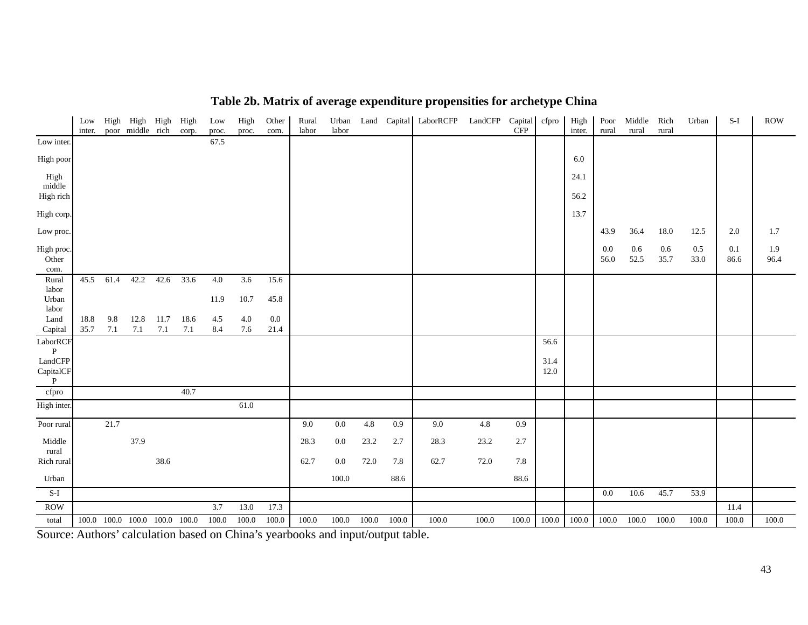|                                                      | Low<br>inter. |            | High High High<br>poor middle rich      |                 | High<br>corp. | Low<br>proc. | High<br>proc. | Other<br>com.   | Rural<br>labor | Urban<br>labor     |              |            | Land Capital LaborRCFP | LandCFP      | Capital cfpro<br><b>CFP</b> |              | High<br>inter. | Poor<br>rural   | Middle<br>rural | Rich<br>rural   | Urban       | $S-I$       | <b>ROW</b>  |
|------------------------------------------------------|---------------|------------|-----------------------------------------|-----------------|---------------|--------------|---------------|-----------------|----------------|--------------------|--------------|------------|------------------------|--------------|-----------------------------|--------------|----------------|-----------------|-----------------|-----------------|-------------|-------------|-------------|
| Low inter.                                           |               |            |                                         |                 |               | 67.5         |               |                 |                |                    |              |            |                        |              |                             |              |                |                 |                 |                 |             |             |             |
| High poor                                            |               |            |                                         |                 |               |              |               |                 |                |                    |              |            |                        |              |                             |              | 6.0            |                 |                 |                 |             |             |             |
| High<br>middle<br>High rich                          |               |            |                                         |                 |               |              |               |                 |                |                    |              |            |                        |              |                             |              | 24.1<br>56.2   |                 |                 |                 |             |             |             |
| High corp.                                           |               |            |                                         |                 |               |              |               |                 |                |                    |              |            |                        |              |                             |              | 13.7           |                 |                 |                 |             |             |             |
| Low proc.                                            |               |            |                                         |                 |               |              |               |                 |                |                    |              |            |                        |              |                             |              |                | 43.9            | 36.4            | 18.0            | 12.5        | 2.0         | 1.7         |
| High proc.<br>Other<br>com.                          |               |            |                                         |                 |               |              |               |                 |                |                    |              |            |                        |              |                             |              |                | $0.0\,$<br>56.0 | 0.6<br>52.5     | $0.6\,$<br>35.7 | 0.5<br>33.0 | 0.1<br>86.6 | 1.9<br>96.4 |
| Rural<br>labor<br>Urban                              | 45.5          | 61.4       | 42.2                                    | 42.6            | 33.6          | 4.0<br>11.9  | 3.6<br>10.7   | 15.6<br>45.8    |                |                    |              |            |                        |              |                             |              |                |                 |                 |                 |             |             |             |
| labor                                                |               |            |                                         |                 |               |              |               |                 |                |                    |              |            |                        |              |                             |              |                |                 |                 |                 |             |             |             |
| Land<br>Capital                                      | 18.8<br>35.7  | 9.8<br>7.1 | 12.8<br>7.1                             | 11.7<br>$7.1\,$ | 18.6<br>7.1   | 4.5<br>8.4   | 4.0<br>7.6    | $0.0\,$<br>21.4 |                |                    |              |            |                        |              |                             |              |                |                 |                 |                 |             |             |             |
| LaborRCF                                             |               |            |                                         |                 |               |              |               |                 |                |                    |              |            |                        |              |                             | 56.6         |                |                 |                 |                 |             |             |             |
| $\, {\bf P}$<br>LandCFP<br>CapitalCF<br>$\mathbf{P}$ |               |            |                                         |                 |               |              |               |                 |                |                    |              |            |                        |              |                             | 31.4<br>12.0 |                |                 |                 |                 |             |             |             |
| cfpro                                                |               |            |                                         |                 | 40.7          |              |               |                 |                |                    |              |            |                        |              |                             |              |                |                 |                 |                 |             |             |             |
| High inter.                                          |               |            |                                         |                 |               |              | 61.0          |                 |                |                    |              |            |                        |              |                             |              |                |                 |                 |                 |             |             |             |
| Poor rural                                           |               | 21.7       |                                         |                 |               |              |               |                 | 9.0            | $0.0\,$            | 4.8          | 0.9        | 9.0                    | $4.8\,$      | 0.9                         |              |                |                 |                 |                 |             |             |             |
| Middle<br>rural<br>Rich rural                        |               |            | 37.9                                    | 38.6            |               |              |               |                 | 28.3<br>62.7   | $0.0\,$<br>$0.0\,$ | 23.2<br>72.0 | 2.7<br>7.8 | 28.3<br>62.7           | 23.2<br>72.0 | 2.7<br>7.8                  |              |                |                 |                 |                 |             |             |             |
| Urban                                                |               |            |                                         |                 |               |              |               |                 |                | $100.0\,$          |              | 88.6       |                        |              | 88.6                        |              |                |                 |                 |                 |             |             |             |
| $S-I$                                                |               |            |                                         |                 |               |              |               |                 |                |                    |              |            |                        |              |                             |              |                | $0.0\,$         | 10.6            | 45.7            | 53.9        |             |             |
| <b>ROW</b>                                           |               |            |                                         |                 |               | 3.7          | 13.0          | 17.3            |                |                    |              |            |                        |              |                             |              |                |                 |                 |                 |             | 11.4        |             |
| total                                                |               |            | $100.0$ $100.0$ $100.0$ $100.0$ $100.0$ |                 |               | 100.0        | 100.0         | 100.0           | 100.0          | 100.0              | 100.0        | 100.0      | 100.0                  | 100.0        | 100.0                       | 100.0        | 100.0          | 100.0           | 100.0           | 100.0           | 100.0       | 100.0       | 100.0       |

## **Table 2b. Matrix of average expenditure propensities for archetype China**

Source: Authors' calculation based on China's yearbooks and input/output table.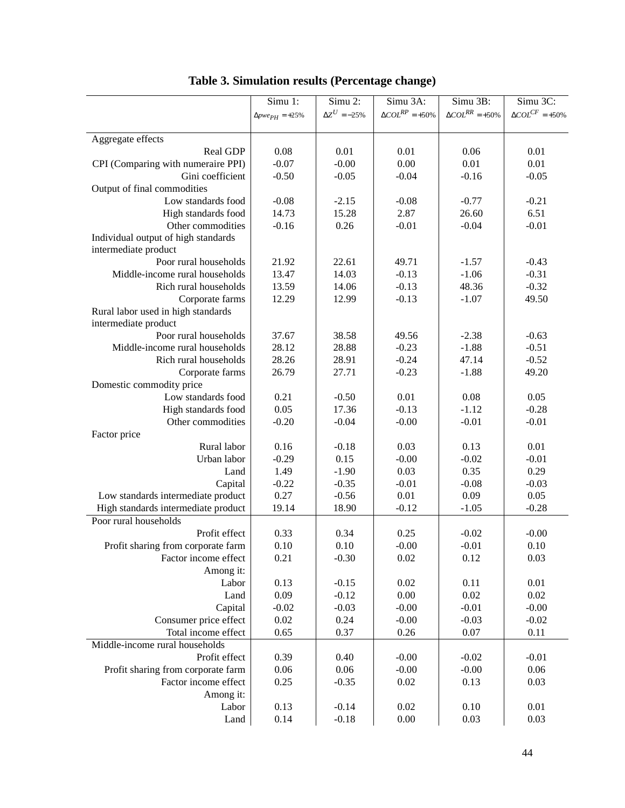|                                                            | Simu 1:                   | Simu 2:              | Simu 3A:                     | Simu 3B:                     | Simu 3C:                     |
|------------------------------------------------------------|---------------------------|----------------------|------------------------------|------------------------------|------------------------------|
|                                                            | $\Delta pwe_{PH} = +25\%$ | $\Delta Z^U = -25\%$ | $\triangle COL^{RP} = +50\%$ | $\triangle COL^{RR} = +50\%$ | $\triangle COL^{CF} = +50\%$ |
|                                                            |                           |                      |                              |                              |                              |
| Aggregate effects                                          |                           |                      |                              |                              |                              |
| Real GDP                                                   | 0.08                      | 0.01                 | 0.01                         | 0.06                         | 0.01                         |
| CPI (Comparing with numeraire PPI)                         | $-0.07$                   | $-0.00$              | 0.00                         | 0.01                         | 0.01                         |
| Gini coefficient                                           | $-0.50$                   | $-0.05$              | $-0.04$                      | $-0.16$                      | $-0.05$                      |
| Output of final commodities                                |                           |                      |                              |                              |                              |
| Low standards food                                         | $-0.08$                   | $-2.15$              | $-0.08$                      | $-0.77$                      | $-0.21$                      |
| High standards food                                        | 14.73                     | 15.28                | 2.87                         | 26.60                        | 6.51                         |
| Other commodities                                          | $-0.16$                   | 0.26                 | $-0.01$                      | $-0.04$                      | $-0.01$                      |
| Individual output of high standards                        |                           |                      |                              |                              |                              |
| intermediate product                                       |                           |                      |                              |                              |                              |
| Poor rural households                                      | 21.92                     | 22.61                | 49.71                        | $-1.57$                      | $-0.43$                      |
| Middle-income rural households                             | 13.47                     | 14.03                | $-0.13$                      | $-1.06$                      | $-0.31$                      |
| Rich rural households                                      | 13.59                     | 14.06                | $-0.13$                      | 48.36                        | $-0.32$                      |
| Corporate farms                                            | 12.29                     | 12.99                | $-0.13$                      | $-1.07$                      | 49.50                        |
| Rural labor used in high standards<br>intermediate product |                           |                      |                              |                              |                              |
| Poor rural households                                      | 37.67                     | 38.58                | 49.56                        | $-2.38$                      | $-0.63$                      |
| Middle-income rural households                             | 28.12                     | 28.88                | $-0.23$                      | $-1.88$                      | $-0.51$                      |
| Rich rural households                                      | 28.26                     | 28.91                | $-0.24$                      | 47.14                        | $-0.52$                      |
| Corporate farms                                            | 26.79                     | 27.71                | $-0.23$                      | $-1.88$                      | 49.20                        |
| Domestic commodity price                                   |                           |                      |                              |                              |                              |
| Low standards food                                         | 0.21                      | $-0.50$              | 0.01                         | 0.08                         | 0.05                         |
| High standards food                                        | 0.05                      | 17.36                | $-0.13$                      | $-1.12$                      | $-0.28$                      |
| Other commodities                                          | $-0.20$                   | $-0.04$              | $-0.00$                      | $-0.01$                      | $-0.01$                      |
| Factor price                                               |                           |                      |                              |                              |                              |
| Rural labor                                                | 0.16                      | $-0.18$              | 0.03                         | 0.13                         | 0.01                         |
| Urban labor                                                | $-0.29$                   | 0.15                 | $-0.00$                      | $-0.02$                      | $-0.01$                      |
| Land                                                       | 1.49                      | $-1.90$              | 0.03                         | 0.35                         | 0.29                         |
| Capital                                                    | $-0.22$                   | $-0.35$              | $-0.01$                      | $-0.08$                      | $-0.03$                      |
| Low standards intermediate product                         | 0.27                      | $-0.56$              | 0.01                         | 0.09                         | 0.05                         |
| High standards intermediate product                        | 19.14                     | 18.90                | $-0.12$                      | $-1.05$                      | $-0.28$                      |
| Poor rural households                                      |                           |                      |                              |                              |                              |
| Profit effect                                              | 0.33                      | 0.34                 | 0.25                         | $-0.02$                      | $-0.00$                      |
| Profit sharing from corporate farm                         | 0.10                      | 0.10                 | $-0.00$                      | $-0.01$                      | 0.10                         |
| Factor income effect                                       | 0.21                      | $-0.30$              | 0.02                         | 0.12                         | 0.03                         |
| Among it:                                                  |                           |                      |                              |                              |                              |
| Labor                                                      | 0.13                      | $-0.15$              | 0.02                         | 0.11                         | 0.01                         |
| Land                                                       | 0.09                      | $-0.12$              | 0.00                         | 0.02                         | 0.02                         |
| Capital                                                    | $-0.02$                   | $-0.03$              | $-0.00$                      | $-0.01$                      | $-0.00$                      |
| Consumer price effect                                      | 0.02                      | 0.24                 | $-0.00$                      | $-0.03$                      | $-0.02$                      |
| Total income effect                                        | 0.65                      | 0.37                 | 0.26                         | 0.07                         | 0.11                         |
| Middle-income rural households                             |                           |                      |                              |                              |                              |
| Profit effect                                              | 0.39                      | 0.40                 | $-0.00$                      | $-0.02$                      | $-0.01$                      |
| Profit sharing from corporate farm                         | $0.06\,$                  | 0.06                 | $-0.00$                      | $-0.00$                      | 0.06                         |
| Factor income effect                                       | 0.25                      | $-0.35$              | 0.02                         | 0.13                         | 0.03                         |
| Among it:                                                  |                           |                      |                              |                              |                              |
| Labor                                                      | 0.13                      | $-0.14$              | 0.02                         | 0.10                         | 0.01                         |
| Land                                                       | 0.14                      | $-0.18$              | 0.00                         | 0.03                         | 0.03                         |

| Table 3. Simulation results (Percentage change) |  |
|-------------------------------------------------|--|
|-------------------------------------------------|--|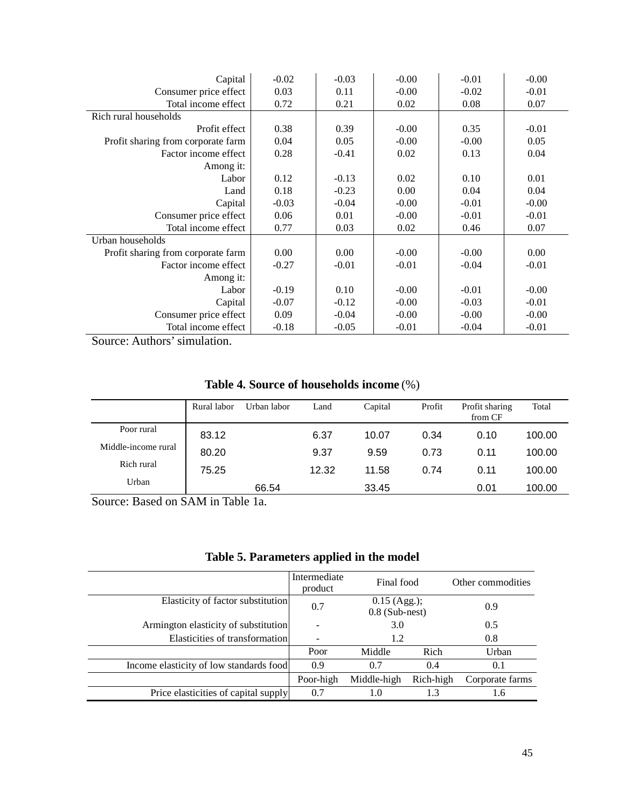| Capital                            | $-0.02$ | $-0.03$ | $-0.00$ | $-0.01$ | $-0.00$ |
|------------------------------------|---------|---------|---------|---------|---------|
| Consumer price effect              | 0.03    | 0.11    | $-0.00$ | $-0.02$ | $-0.01$ |
| Total income effect                | 0.72    | 0.21    | 0.02    | 0.08    | 0.07    |
| Rich rural households              |         |         |         |         |         |
| Profit effect                      | 0.38    | 0.39    | $-0.00$ | 0.35    | $-0.01$ |
| Profit sharing from corporate farm | 0.04    | 0.05    | $-0.00$ | $-0.00$ | 0.05    |
| Factor income effect               | 0.28    | $-0.41$ | 0.02    | 0.13    | 0.04    |
| Among it:                          |         |         |         |         |         |
| Labor                              | 0.12    | $-0.13$ | 0.02    | 0.10    | 0.01    |
| Land                               | 0.18    | $-0.23$ | 0.00    | 0.04    | 0.04    |
| Capital                            | $-0.03$ | $-0.04$ | $-0.00$ | $-0.01$ | $-0.00$ |
| Consumer price effect              | 0.06    | 0.01    | $-0.00$ | $-0.01$ | $-0.01$ |
| Total income effect                | 0.77    | 0.03    | 0.02    | 0.46    | 0.07    |
| Urban households                   |         |         |         |         |         |
| Profit sharing from corporate farm | 0.00    | 0.00    | $-0.00$ | $-0.00$ | 0.00    |
| Factor income effect               | $-0.27$ | $-0.01$ | $-0.01$ | $-0.04$ | $-0.01$ |
| Among it:                          |         |         |         |         |         |
| Labor                              | $-0.19$ | 0.10    | $-0.00$ | $-0.01$ | $-0.00$ |
| Capital                            | $-0.07$ | $-0.12$ | $-0.00$ | $-0.03$ | $-0.01$ |
| Consumer price effect              | 0.09    | $-0.04$ | $-0.00$ | $-0.00$ | $-0.00$ |
| Total income effect                | $-0.18$ | $-0.05$ | $-0.01$ | $-0.04$ | $-0.01$ |

Source: Authors' simulation.

|  |  |  |  | Table 4. Source of households income (%) |
|--|--|--|--|------------------------------------------|
|--|--|--|--|------------------------------------------|

|                     | Rural labor | Urban labor | Land  | Capital | Profit | Profit sharing<br>from CF | Total  |
|---------------------|-------------|-------------|-------|---------|--------|---------------------------|--------|
| Poor rural          | 83.12       |             | 6.37  | 10.07   | 0.34   | 0.10                      | 100.00 |
| Middle-income rural | 80.20       |             | 9.37  | 9.59    | 0.73   | 0.11                      | 100.00 |
| Rich rural          | 75.25       |             | 12.32 | 11.58   | 0.74   | 0.11                      | 100.00 |
| Urban               |             | 66.54       |       | 33.45   |        | 0.01                      | 100.00 |

Source: Based on SAM in Table 1a.

|                                         | Intermediate<br>product  | Final food                         |           | Other commodities |
|-----------------------------------------|--------------------------|------------------------------------|-----------|-------------------|
| Elasticity of factor substitution       | 0.7                      | $0.15$ (Agg.);<br>$0.8$ (Sub-nest) |           | 0.9               |
| Armington elasticity of substitution    | $\overline{\phantom{0}}$ | 3.0                                |           | 0.5               |
| Elasticities of transformation          | $\qquad \qquad$          | 1.2                                |           | 0.8               |
|                                         | Poor                     | Middle                             | Rich      | Urban             |
| Income elasticity of low standards food | 0.9                      | 0.7                                | 0.4       | 0.1               |
|                                         | Poor-high                | Middle-high                        | Rich-high | Corporate farms   |
| Price elasticities of capital supply    | 0.7                      | 1.0                                | 1.3       | 1.6               |